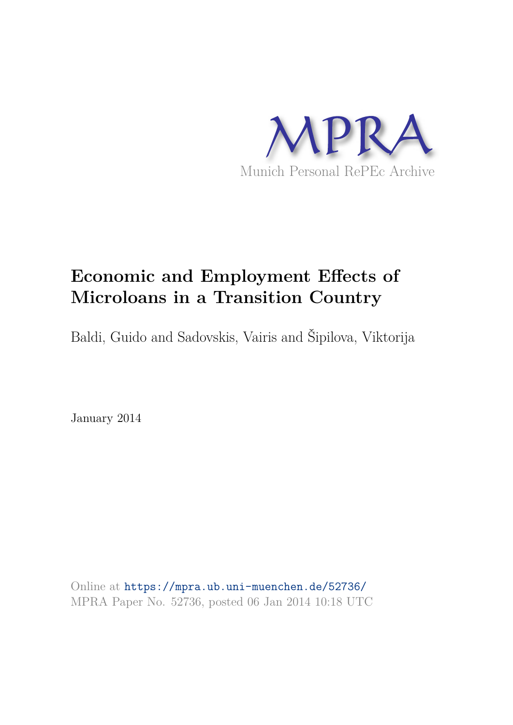

# **Economic and Employment Effects of Microloans in a Transition Country**

Baldi, Guido and Sadovskis, Vairis and Šipilova, Viktorija

January 2014

Online at https://mpra.ub.uni-muenchen.de/52736/ MPRA Paper No. 52736, posted 06 Jan 2014 10:18 UTC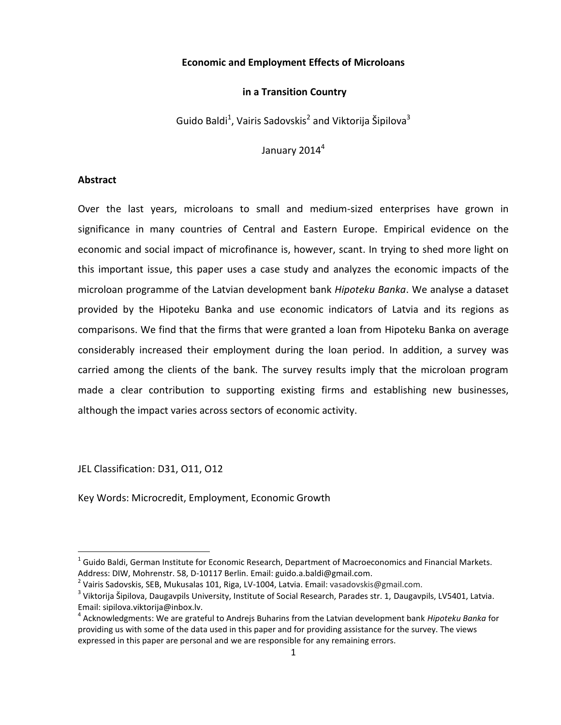## **Economic and Employment Effects of Microloans**

#### **in a Transition Country**

Guido Baldi<sup>1</sup>, Vairis Sadovskis<sup>2</sup> and Viktorija Šipilova<sup>3</sup>

January 2014 $4$ 

#### **Abstract**

Over the last years, microloans to small and medium-sized enterprises have grown in significance in many countries of Central and Eastern Europe. Empirical evidence on the economic and social impact of microfinance is, however, scant. In trying to shed more light on this important issue, this paper uses a case study and analyzes the economic impacts of the microloan programme of the Latvian development bank *Hipoteku Banka*. We analyse a dataset provided by the Hipoteku Banka and use economic indicators of Latvia and its regions as comparisons. We find that the firms that were granted a loan from Hipoteku Banka on average considerably increased their employment during the loan period. In addition, a survey was carried among the clients of the bank. The survey results imply that the microloan program made a clear contribution to supporting existing firms and establishing new businesses, although the impact varies across sectors of economic activity.

JEL Classification: D31, O11, O12

l

Key Words: Microcredit, Employment, Economic Growth

 $^1$  Guido Baldi, German Institute for Economic Research, Department of Macroeconomics and Financial Markets. Address: DIW, Mohrenstr. 58, D-10117 Berlin. Email[: guido.a.baldi@gmail.com.](mailto:guido.a.baldi@gmail.com)

<sup>&</sup>lt;sup>2</sup> Vairis Sadovskis, SEB, Mukusalas 101, Riga, LV-1004, Latvia. Email: vasadovskis@gmail.com.

<sup>&</sup>lt;sup>3</sup> Viktorija Šipilova, Daugavpils University, Institute of Social Research, Parades str. 1, Daugavpils, LV5401, Latvia. Email: sipilova.viktorija@inbox.lv.

<sup>4</sup> Acknowledgments: We are grateful to Andrejs Buharins from the Latvian development bank *Hipoteku Banka* for providing us with some of the data used in this paper and for providing assistance for the survey. The views expressed in this paper are personal and we are responsible for any remaining errors.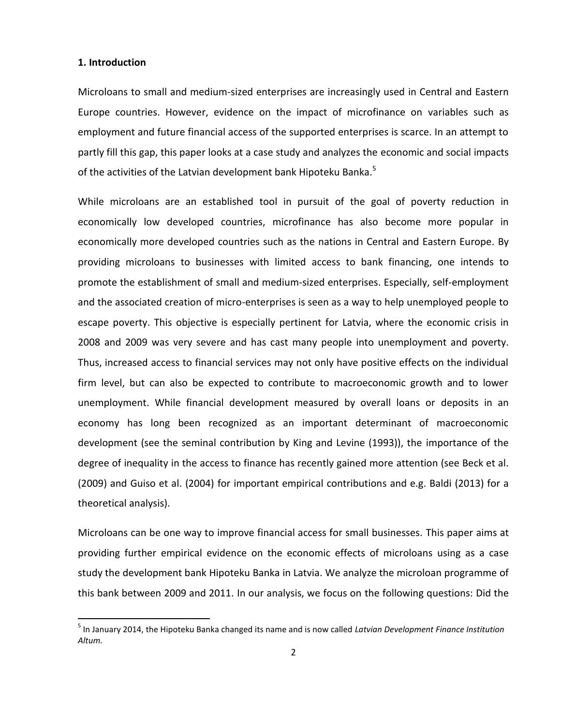#### **1. Introduction**

l

Microloans to small and medium-sized enterprises are increasingly used in Central and Eastern Europe countries. However, evidence on the impact of microfinance on variables such as employment and future financial access of the supported enterprises is scarce. In an attempt to partly fill this gap, this paper looks at a case study and analyzes the economic and social impacts of the activities of the Latvian development bank Hipoteku Banka.<sup>5</sup>

While microloans are an established tool in pursuit of the goal of poverty reduction in economically low developed countries, microfinance has also become more popular in economically more developed countries such as the nations in Central and Eastern Europe. By providing microloans to businesses with limited access to bank financing, one intends to promote the establishment of small and medium-sized enterprises. Especially, self-employment and the associated creation of micro-enterprises is seen as a way to help unemployed people to escape poverty. This objective is especially pertinent for Latvia, where the economic crisis in 2008 and 2009 was very severe and has cast many people into unemployment and poverty. Thus, increased access to financial services may not only have positive effects on the individual firm level, but can also be expected to contribute to macroeconomic growth and to lower unemployment. While financial development measured by overall loans or deposits in an economy has long been recognized as an important determinant of macroeconomic development (see the seminal contribution by King and Levine (1993)), the importance of the degree of inequality in the access to finance has recently gained more attention (see Beck et al. (2009) and Guiso et al. (2004) for important empirical contributions and e.g. Baldi (2013) for a theoretical analysis).

Microloans can be one way to improve financial access for small businesses. This paper aims at providing further empirical evidence on the economic effects of microloans using as a case study the development bank Hipoteku Banka in Latvia. We analyze the microloan programme of this bank between 2009 and 2011. In our analysis, we focus on the following questions: Did the

<sup>5</sup> In January 2014, the Hipoteku Banka changed its name and is now called *Latvian Development Finance Institution Altum.*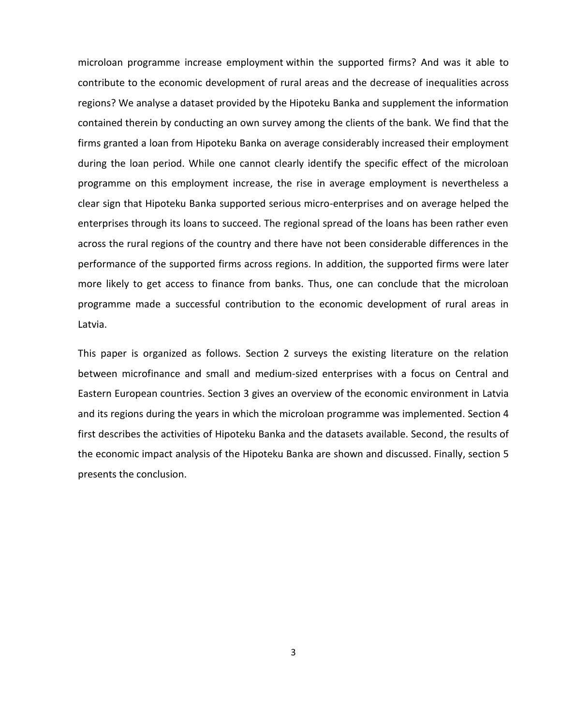microloan programme increase employment within the supported firms? And was it able to contribute to the economic development of rural areas and the decrease of inequalities across regions? We analyse a dataset provided by the Hipoteku Banka and supplement the information contained therein by conducting an own survey among the clients of the bank. We find that the firms granted a loan from Hipoteku Banka on average considerably increased their employment during the loan period. While one cannot clearly identify the specific effect of the microloan programme on this employment increase, the rise in average employment is nevertheless a clear sign that Hipoteku Banka supported serious micro-enterprises and on average helped the enterprises through its loans to succeed. The regional spread of the loans has been rather even across the rural regions of the country and there have not been considerable differences in the performance of the supported firms across regions. In addition, the supported firms were later more likely to get access to finance from banks. Thus, one can conclude that the microloan programme made a successful contribution to the economic development of rural areas in Latvia.

This paper is organized as follows. Section 2 surveys the existing literature on the relation between microfinance and small and medium-sized enterprises with a focus on Central and Eastern European countries. Section 3 gives an overview of the economic environment in Latvia and its regions during the years in which the microloan programme was implemented. Section 4 first describes the activities of Hipoteku Banka and the datasets available. Second, the results of the economic impact analysis of the Hipoteku Banka are shown and discussed. Finally, section 5 presents the conclusion.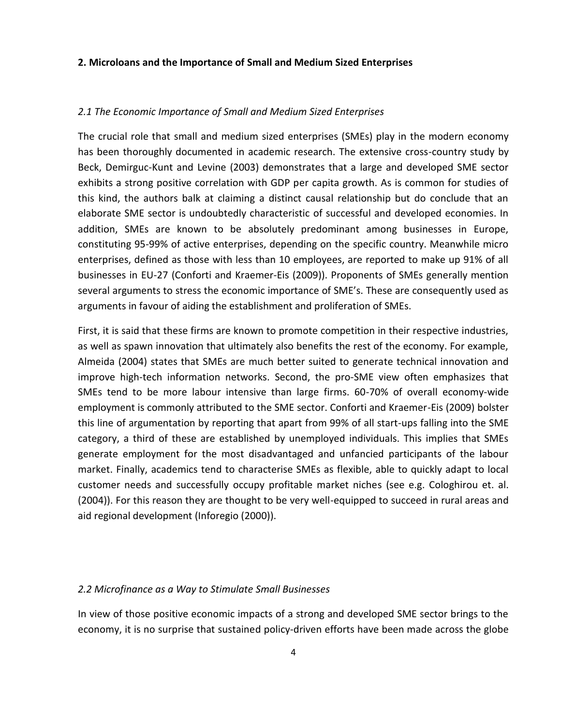#### **2. Microloans and the Importance of Small and Medium Sized Enterprises**

#### *2.1 The Economic Importance of Small and Medium Sized Enterprises*

The crucial role that small and medium sized enterprises (SMEs) play in the modern economy has been thoroughly documented in academic research. The extensive cross-country study by Beck, Demirguc-Kunt and Levine (2003) demonstrates that a large and developed SME sector exhibits a strong positive correlation with GDP per capita growth. As is common for studies of this kind, the authors balk at claiming a distinct causal relationship but do conclude that an elaborate SME sector is undoubtedly characteristic of successful and developed economies. In addition, SMEs are known to be absolutely predominant among businesses in Europe, constituting 95-99% of active enterprises, depending on the specific country. Meanwhile micro enterprises, defined as those with less than 10 employees, are reported to make up 91% of all businesses in EU-27 (Conforti and Kraemer-Eis (2009)). Proponents of SMEs generally mention several arguments to stress the economic importance of SME's. These are consequently used as arguments in favour of aiding the establishment and proliferation of SMEs.

First, it is said that these firms are known to promote competition in their respective industries, as well as spawn innovation that ultimately also benefits the rest of the economy. For example, Almeida (2004) states that SMEs are much better suited to generate technical innovation and improve high-tech information networks. Second, the pro-SME view often emphasizes that SMEs tend to be more labour intensive than large firms. 60-70% of overall economy-wide employment is commonly attributed to the SME sector. Conforti and Kraemer-Eis (2009) bolster this line of argumentation by reporting that apart from 99% of all start-ups falling into the SME category, a third of these are established by unemployed individuals. This implies that SMEs generate employment for the most disadvantaged and unfancied participants of the labour market. Finally, academics tend to characterise SMEs as flexible, able to quickly adapt to local customer needs and successfully occupy profitable market niches (see e.g. Cologhirou et. al. (2004)). For this reason they are thought to be very well-equipped to succeed in rural areas and aid regional development (Inforegio (2000)).

#### *2.2 Microfinance as a Way to Stimulate Small Businesses*

In view of those positive economic impacts of a strong and developed SME sector brings to the economy, it is no surprise that sustained policy-driven efforts have been made across the globe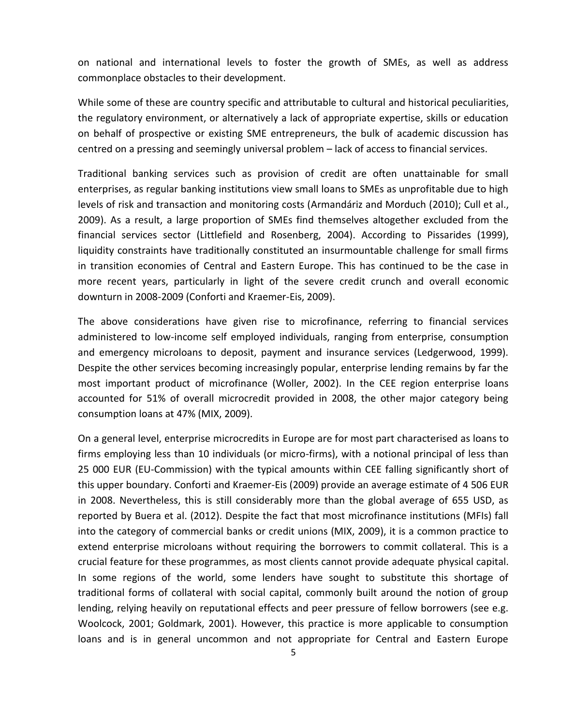on national and international levels to foster the growth of SMEs, as well as address commonplace obstacles to their development.

While some of these are country specific and attributable to cultural and historical peculiarities, the regulatory environment, or alternatively a lack of appropriate expertise, skills or education on behalf of prospective or existing SME entrepreneurs, the bulk of academic discussion has centred on a pressing and seemingly universal problem – lack of access to financial services.

Traditional banking services such as provision of credit are often unattainable for small enterprises, as regular banking institutions view small loans to SMEs as unprofitable due to high levels of risk and transaction and monitoring costs (Armandáriz and Morduch (2010); Cull et al., 2009). As a result, a large proportion of SMEs find themselves altogether excluded from the financial services sector (Littlefield and Rosenberg, 2004). According to Pissarides (1999), liquidity constraints have traditionally constituted an insurmountable challenge for small firms in transition economies of Central and Eastern Europe. This has continued to be the case in more recent years, particularly in light of the severe credit crunch and overall economic downturn in 2008-2009 (Conforti and Kraemer-Eis, 2009).

The above considerations have given rise to microfinance, referring to financial services administered to low-income self employed individuals, ranging from enterprise, consumption and emergency microloans to deposit, payment and insurance services (Ledgerwood, 1999). Despite the other services becoming increasingly popular, enterprise lending remains by far the most important product of microfinance (Woller, 2002). In the CEE region enterprise loans accounted for 51% of overall microcredit provided in 2008, the other major category being consumption loans at 47% (MIX, 2009).

On a general level, enterprise microcredits in Europe are for most part characterised as loans to firms employing less than 10 individuals (or micro-firms), with a notional principal of less than 25 000 EUR (EU-Commission) with the typical amounts within CEE falling significantly short of this upper boundary. Conforti and Kraemer-Eis (2009) provide an average estimate of 4 506 EUR in 2008. Nevertheless, this is still considerably more than the global average of 655 USD, as reported by Buera et al. (2012). Despite the fact that most microfinance institutions (MFIs) fall into the category of commercial banks or credit unions (MIX, 2009), it is a common practice to extend enterprise microloans without requiring the borrowers to commit collateral. This is a crucial feature for these programmes, as most clients cannot provide adequate physical capital. In some regions of the world, some lenders have sought to substitute this shortage of traditional forms of collateral with social capital, commonly built around the notion of group lending, relying heavily on reputational effects and peer pressure of fellow borrowers (see e.g. Woolcock, 2001; Goldmark, 2001). However, this practice is more applicable to consumption loans and is in general uncommon and not appropriate for Central and Eastern Europe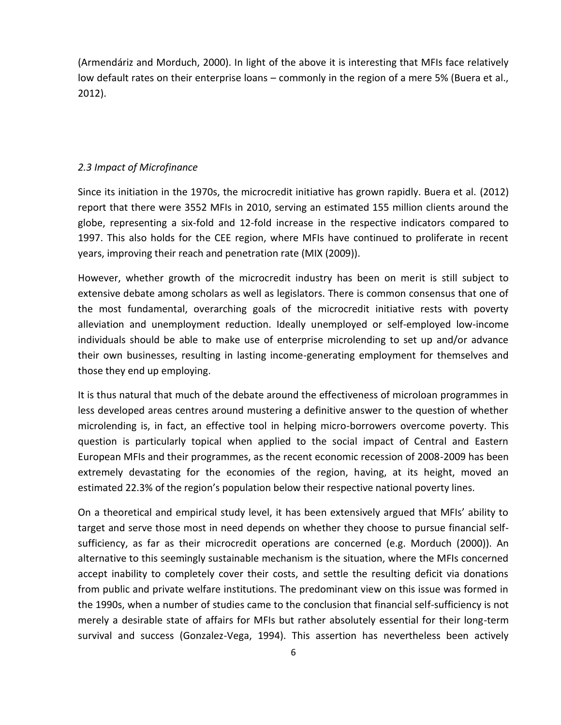(Armendáriz and Morduch, 2000). In light of the above it is interesting that MFIs face relatively low default rates on their enterprise loans – commonly in the region of a mere 5% (Buera et al., 2012).

## *2.3 Impact of Microfinance*

Since its initiation in the 1970s, the microcredit initiative has grown rapidly. Buera et al. (2012) report that there were 3552 MFIs in 2010, serving an estimated 155 million clients around the globe, representing a six-fold and 12-fold increase in the respective indicators compared to 1997. This also holds for the CEE region, where MFIs have continued to proliferate in recent years, improving their reach and penetration rate (MIX (2009)).

However, whether growth of the microcredit industry has been on merit is still subject to extensive debate among scholars as well as legislators. There is common consensus that one of the most fundamental, overarching goals of the microcredit initiative rests with poverty alleviation and unemployment reduction. Ideally unemployed or self-employed low-income individuals should be able to make use of enterprise microlending to set up and/or advance their own businesses, resulting in lasting income-generating employment for themselves and those they end up employing.

It is thus natural that much of the debate around the effectiveness of microloan programmes in less developed areas centres around mustering a definitive answer to the question of whether microlending is, in fact, an effective tool in helping micro-borrowers overcome poverty. This question is particularly topical when applied to the social impact of Central and Eastern European MFIs and their programmes, as the recent economic recession of 2008-2009 has been extremely devastating for the economies of the region, having, at its height, moved an estimated 22.3% of the region's population below their respective national poverty lines.

On a theoretical and empirical study level, it has been extensively argued that MFIs' ability to target and serve those most in need depends on whether they choose to pursue financial selfsufficiency, as far as their microcredit operations are concerned (e.g. Morduch (2000)). An alternative to this seemingly sustainable mechanism is the situation, where the MFIs concerned accept inability to completely cover their costs, and settle the resulting deficit via donations from public and private welfare institutions. The predominant view on this issue was formed in the 1990s, when a number of studies came to the conclusion that financial self-sufficiency is not merely a desirable state of affairs for MFIs but rather absolutely essential for their long-term survival and success (Gonzalez-Vega, 1994). This assertion has nevertheless been actively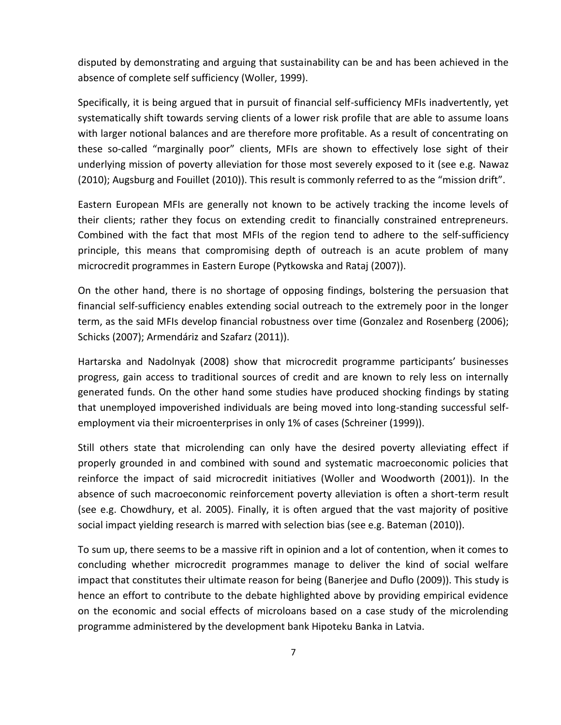disputed by demonstrating and arguing that sustainability can be and has been achieved in the absence of complete self sufficiency (Woller, 1999).

Specifically, it is being argued that in pursuit of financial self-sufficiency MFIs inadvertently, yet systematically shift towards serving clients of a lower risk profile that are able to assume loans with larger notional balances and are therefore more profitable. As a result of concentrating on these so-called "marginally poor" clients, MFIs are shown to effectively lose sight of their underlying mission of poverty alleviation for those most severely exposed to it (see e.g. Nawaz (2010); Augsburg and Fouillet (2010)). This result is commonly referred to as the "mission drift".

Eastern European MFIs are generally not known to be actively tracking the income levels of their clients; rather they focus on extending credit to financially constrained entrepreneurs. Combined with the fact that most MFIs of the region tend to adhere to the self-sufficiency principle, this means that compromising depth of outreach is an acute problem of many microcredit programmes in Eastern Europe (Pytkowska and Rataj (2007)).

On the other hand, there is no shortage of opposing findings, bolstering the persuasion that financial self-sufficiency enables extending social outreach to the extremely poor in the longer term, as the said MFIs develop financial robustness over time (Gonzalez and Rosenberg (2006); Schicks (2007); Armendáriz and Szafarz (2011)).

Hartarska and Nadolnyak (2008) show that microcredit programme participants' businesses progress, gain access to traditional sources of credit and are known to rely less on internally generated funds. On the other hand some studies have produced shocking findings by stating that unemployed impoverished individuals are being moved into long-standing successful selfemployment via their microenterprises in only 1% of cases (Schreiner (1999)).

Still others state that microlending can only have the desired poverty alleviating effect if properly grounded in and combined with sound and systematic macroeconomic policies that reinforce the impact of said microcredit initiatives (Woller and Woodworth (2001)). In the absence of such macroeconomic reinforcement poverty alleviation is often a short-term result (see e.g. Chowdhury, et al. 2005). Finally, it is often argued that the vast majority of positive social impact yielding research is marred with selection bias (see e.g. Bateman (2010)).

To sum up, there seems to be a massive rift in opinion and a lot of contention, when it comes to concluding whether microcredit programmes manage to deliver the kind of social welfare impact that constitutes their ultimate reason for being (Banerjee and Duflo (2009)). This study is hence an effort to contribute to the debate highlighted above by providing empirical evidence on the economic and social effects of microloans based on a case study of the microlending programme administered by the development bank Hipoteku Banka in Latvia.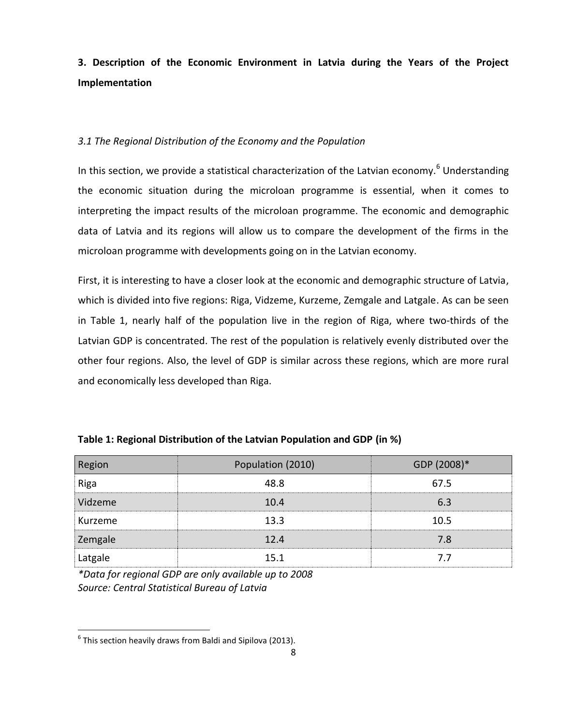**3. Description of the Economic Environment in Latvia during the Years of the Project Implementation** 

## *3.1 The Regional Distribution of the Economy and the Population*

In this section, we provide a statistical characterization of the Latvian economy.<sup>6</sup> Understanding the economic situation during the microloan programme is essential, when it comes to interpreting the impact results of the microloan programme. The economic and demographic data of Latvia and its regions will allow us to compare the development of the firms in the microloan programme with developments going on in the Latvian economy.

First, it is interesting to have a closer look at the economic and demographic structure of Latvia, which is divided into five regions: Riga, Vidzeme, Kurzeme, Zemgale and Latgale. As can be seen in Table 1, nearly half of the population live in the region of Riga, where two-thirds of the Latvian GDP is concentrated. The rest of the population is relatively evenly distributed over the other four regions. Also, the level of GDP is similar across these regions, which are more rural and economically less developed than Riga.

| Region  | Population (2010) | GDP (2008)* |
|---------|-------------------|-------------|
| Riga    | 48.8              | 67.5        |
| Vidzeme | 10.4              | 6.3         |
| Kurzeme | 13.3              | 10.5        |
| Zemgale | 12.4              | 7.8         |
| Latgale | 15.1              | 7.7         |

| Table 1: Regional Distribution of the Latvian Population and GDP (in %) |  |  |
|-------------------------------------------------------------------------|--|--|
|-------------------------------------------------------------------------|--|--|

*\*Data for regional GDP are only available up to 2008 Source: Central Statistical Bureau of Latvia* 

 $\overline{\phantom{a}}$ 

 $<sup>6</sup>$  This section heavily draws from Baldi and Sipilova (2013).</sup>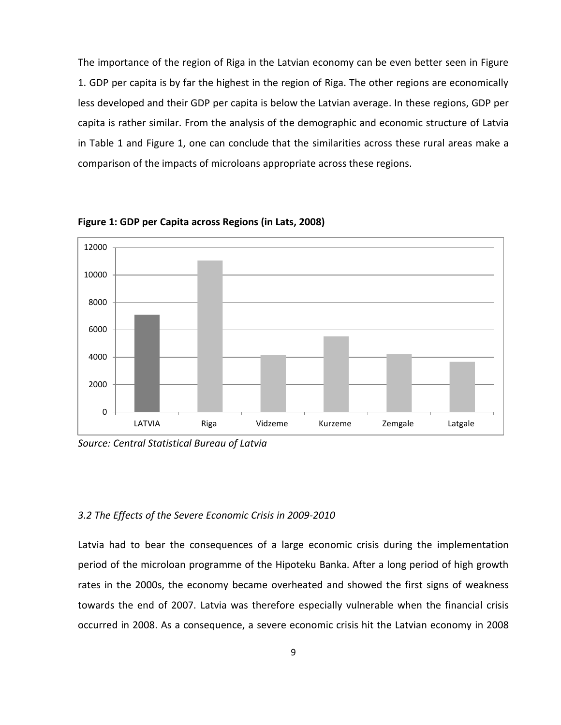The importance of the region of Riga in the Latvian economy can be even better seen in Figure 1. GDP per capita is by far the highest in the region of Riga. The other regions are economically less developed and their GDP per capita is below the Latvian average. In these regions, GDP per capita is rather similar. From the analysis of the demographic and economic structure of Latvia in Table 1 and Figure 1, one can conclude that the similarities across these rural areas make a comparison of the impacts of microloans appropriate across these regions.



**Figure 1: GDP per Capita across Regions (in Lats, 2008)**

*Source: Central Statistical Bureau of Latvia* 

## *3.2 The Effects of the Severe Economic Crisis in 2009-2010*

Latvia had to bear the consequences of a large economic crisis during the implementation period of the microloan programme of the Hipoteku Banka. After a long period of high growth rates in the 2000s, the economy became overheated and showed the first signs of weakness towards the end of 2007. Latvia was therefore especially vulnerable when the financial crisis occurred in 2008. As a consequence, a severe economic crisis hit the Latvian economy in 2008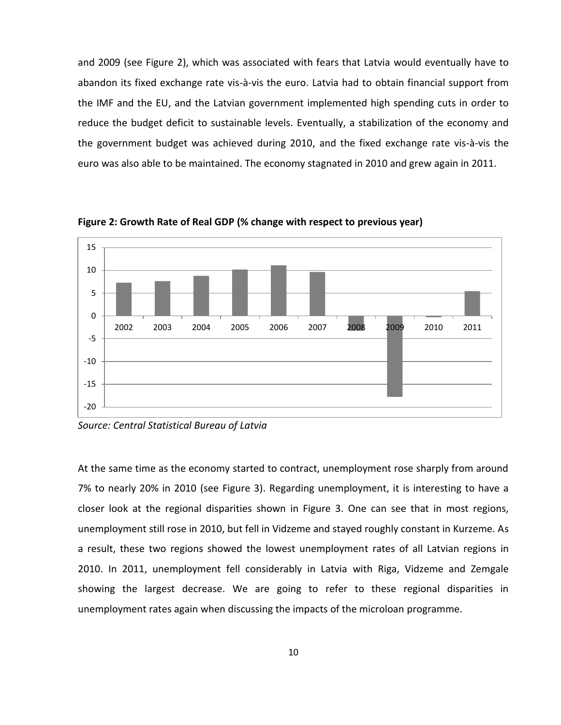and 2009 (see Figure 2), which was associated with fears that Latvia would eventually have to abandon its fixed exchange rate vis-à-vis the euro. Latvia had to obtain financial support from the IMF and the EU, and the Latvian government implemented high spending cuts in order to reduce the budget deficit to sustainable levels. Eventually, a stabilization of the economy and the government budget was achieved during 2010, and the fixed exchange rate vis-à-vis the euro was also able to be maintained. The economy stagnated in 2010 and grew again in 2011.



**Figure 2: Growth Rate of Real GDP (% change with respect to previous year)** 

*Source: Central Statistical Bureau of Latvia* 

At the same time as the economy started to contract, unemployment rose sharply from around 7% to nearly 20% in 2010 (see Figure 3). Regarding unemployment, it is interesting to have a closer look at the regional disparities shown in Figure 3. One can see that in most regions, unemployment still rose in 2010, but fell in Vidzeme and stayed roughly constant in Kurzeme. As a result, these two regions showed the lowest unemployment rates of all Latvian regions in 2010. In 2011, unemployment fell considerably in Latvia with Riga, Vidzeme and Zemgale showing the largest decrease. We are going to refer to these regional disparities in unemployment rates again when discussing the impacts of the microloan programme.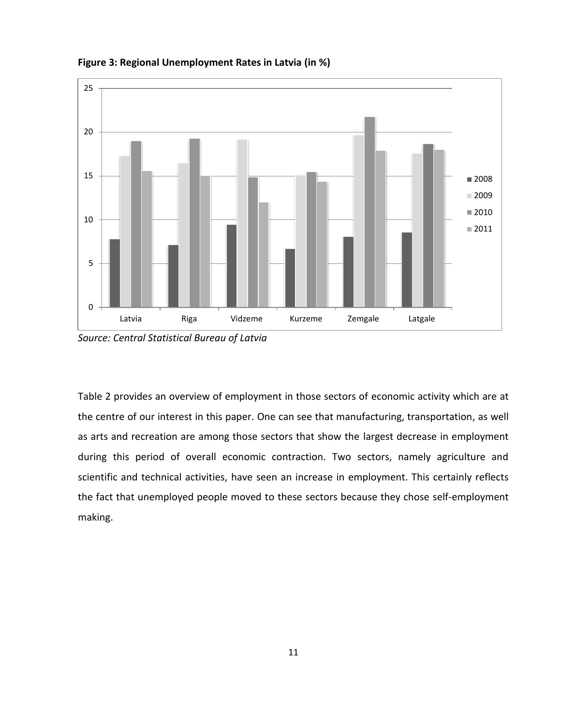

**Figure 3: Regional Unemployment Rates in Latvia (in %)** 

*Source: Central Statistical Bureau of Latvia* 

Table 2 provides an overview of employment in those sectors of economic activity which are at the centre of our interest in this paper. One can see that manufacturing, transportation, as well as arts and recreation are among those sectors that show the largest decrease in employment during this period of overall economic contraction. Two sectors, namely agriculture and scientific and technical activities, have seen an increase in employment. This certainly reflects the fact that unemployed people moved to these sectors because they chose self-employment making.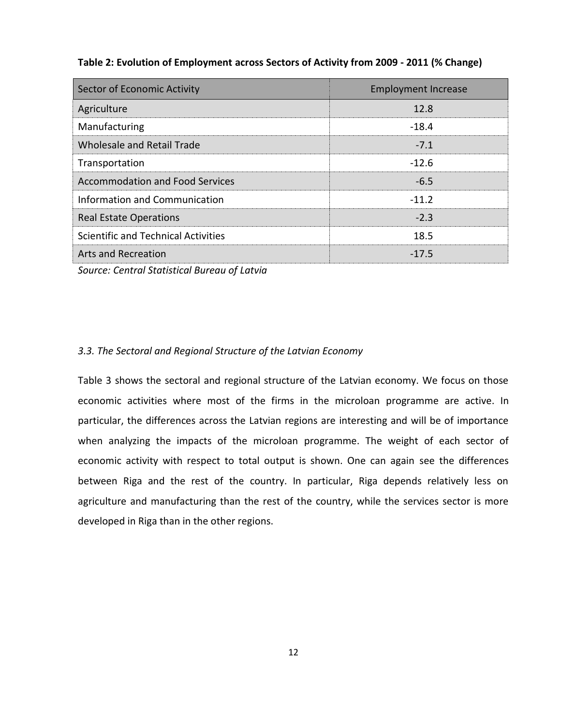|  |  |  | Table 2: Evolution of Employment across Sectors of Activity from 2009 - 2011 (% Change) |
|--|--|--|-----------------------------------------------------------------------------------------|
|--|--|--|-----------------------------------------------------------------------------------------|

| Sector of Economic Activity                | <b>Employment Increase</b> |
|--------------------------------------------|----------------------------|
| Agriculture                                | 12.8                       |
| Manufacturing                              | $-18.4$                    |
| Wholesale and Retail Trade                 | $-7.1$                     |
| Transportation                             | $-12.6$                    |
| <b>Accommodation and Food Services</b>     | $-6.5$                     |
| <b>Information and Communication</b>       | $-11.2$                    |
| <b>Real Estate Operations</b>              | $-2.3$                     |
| <b>Scientific and Technical Activities</b> | 18.5                       |
| <b>Arts and Recreation</b>                 | $-17.5$                    |

*Source: Central Statistical Bureau of Latvia* 

#### *3.3. The Sectoral and Regional Structure of the Latvian Economy*

Table 3 shows the sectoral and regional structure of the Latvian economy. We focus on those economic activities where most of the firms in the microloan programme are active. In particular, the differences across the Latvian regions are interesting and will be of importance when analyzing the impacts of the microloan programme. The weight of each sector of economic activity with respect to total output is shown. One can again see the differences between Riga and the rest of the country. In particular, Riga depends relatively less on agriculture and manufacturing than the rest of the country, while the services sector is more developed in Riga than in the other regions.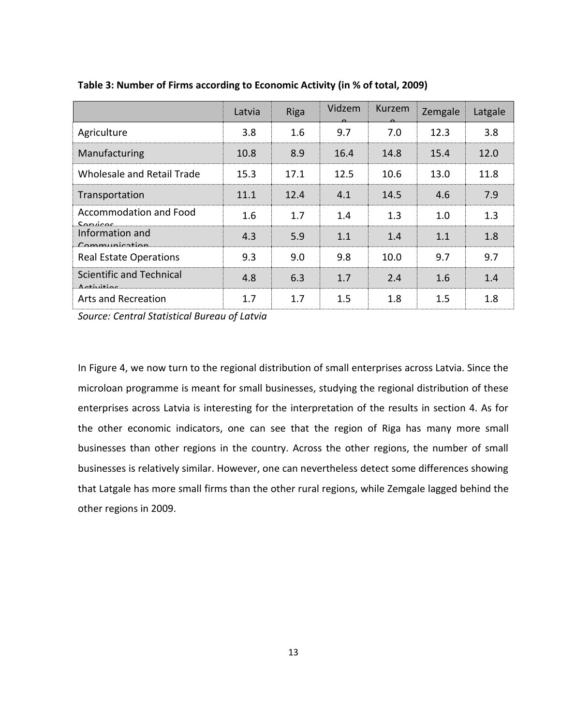|                                               | Latvia | <b>Riga</b> | Vidzem  | Kurzem | Zemgale | Latgale |
|-----------------------------------------------|--------|-------------|---------|--------|---------|---------|
| Agriculture                                   | 3.8    | 1.6         | 9.7     | 7.0    | 12.3    | 3.8     |
| Manufacturing                                 | 10.8   | 8.9         | 16.4    | 14.8   | 15.4    | 12.0    |
| Wholesale and Retail Trade                    | 15.3   | 17.1        | 12.5    | 10.6   | 13.0    | 11.8    |
| Transportation                                | 11.1   | 12.4        | 4.1     | 14.5   | 4.6     | 7.9     |
| Accommodation and Food<br>Sanjicac            | 1.6    | 1.7         | 1.4     | 1.3    | 1.0     | 1.3     |
| Information and<br>Common                     | 4.3    | 5.9         | 1.1     | 1.4    | 1.1     | 1.8     |
| <b>Real Estate Operations</b>                 | 9.3    | 9.0         | 9.8     | 10.0   | 9.7     | 9.7     |
| Scientific and Technical<br><u>Activitios</u> | 4.8    | 6.3         | 1.7     | 2.4    | 1.6     | 1.4     |
| <b>Arts and Recreation</b>                    | 1.7    | 1.7         | $1.5\,$ | 1.8    | $1.5\,$ | 1.8     |

**Table 3: Number of Firms according to Economic Activity (in % of total, 2009)** 

*Source: Central Statistical Bureau of Latvia* 

In Figure 4, we now turn to the regional distribution of small enterprises across Latvia. Since the microloan programme is meant for small businesses, studying the regional distribution of these enterprises across Latvia is interesting for the interpretation of the results in section 4. As for the other economic indicators, one can see that the region of Riga has many more small businesses than other regions in the country. Across the other regions, the number of small businesses is relatively similar. However, one can nevertheless detect some differences showing that Latgale has more small firms than the other rural regions, while Zemgale lagged behind the other regions in 2009.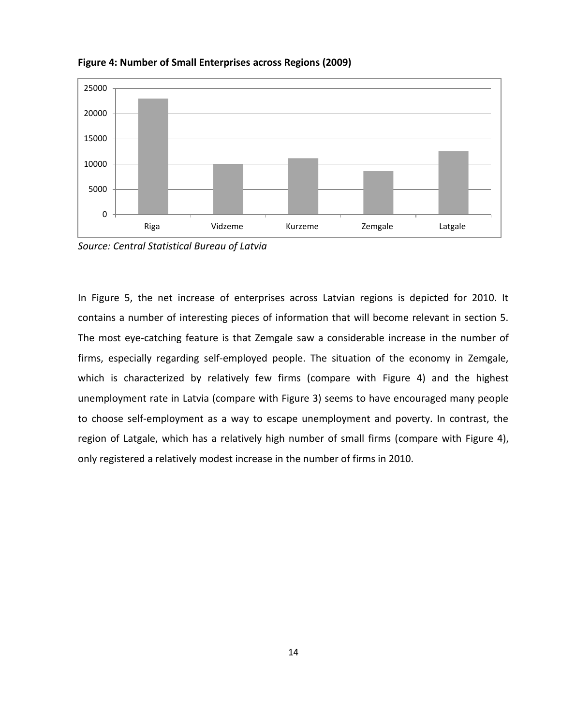

**Figure 4: Number of Small Enterprises across Regions (2009)** 

*Source: Central Statistical Bureau of Latvia* 

In Figure 5, the net increase of enterprises across Latvian regions is depicted for 2010. It contains a number of interesting pieces of information that will become relevant in section 5. The most eye-catching feature is that Zemgale saw a considerable increase in the number of firms, especially regarding self-employed people. The situation of the economy in Zemgale, which is characterized by relatively few firms (compare with Figure 4) and the highest unemployment rate in Latvia (compare with Figure 3) seems to have encouraged many people to choose self-employment as a way to escape unemployment and poverty. In contrast, the region of Latgale, which has a relatively high number of small firms (compare with Figure 4), only registered a relatively modest increase in the number of firms in 2010.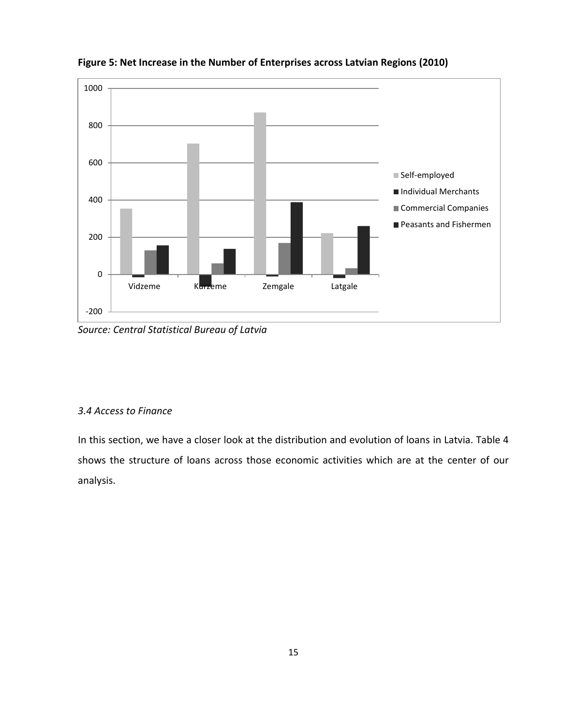

**Figure 5: Net Increase in the Number of Enterprises across Latvian Regions (2010)** 

*Source: Central Statistical Bureau of Latvia* 

## *3.4 Access to Finance*

In this section, we have a closer look at the distribution and evolution of loans in Latvia. Table 4 shows the structure of loans across those economic activities which are at the center of our analysis.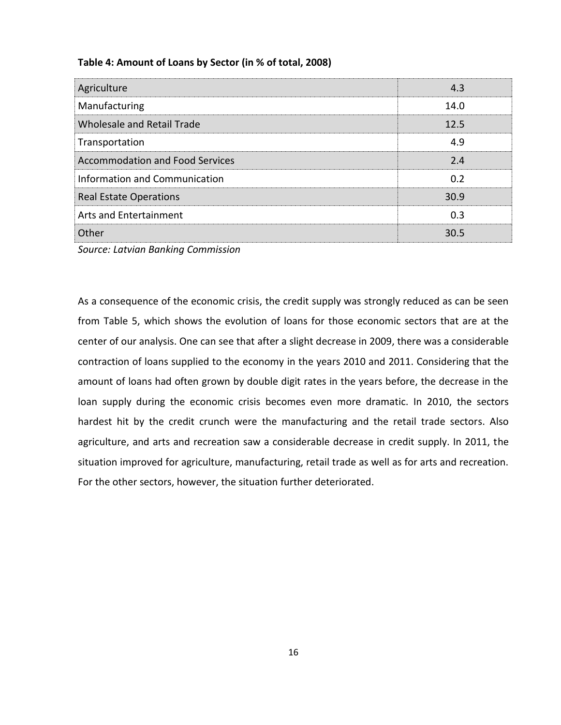| Agriculture                            | 4.3  |
|----------------------------------------|------|
| Manufacturing                          | 14.0 |
| <b>Wholesale and Retail Trade</b>      | 12.5 |
| Transportation                         | 4.9  |
| <b>Accommodation and Food Services</b> | 2.4  |
| Information and Communication          | 0.2  |
| <b>Real Estate Operations</b>          | 30.9 |
| Arts and Entertainment                 | 0.3  |
| Other                                  | 30.5 |

## **Table 4: Amount of Loans by Sector (in % of total, 2008)**

*Source: Latvian Banking Commission* 

As a consequence of the economic crisis, the credit supply was strongly reduced as can be seen from Table 5, which shows the evolution of loans for those economic sectors that are at the center of our analysis. One can see that after a slight decrease in 2009, there was a considerable contraction of loans supplied to the economy in the years 2010 and 2011. Considering that the amount of loans had often grown by double digit rates in the years before, the decrease in the loan supply during the economic crisis becomes even more dramatic. In 2010, the sectors hardest hit by the credit crunch were the manufacturing and the retail trade sectors. Also agriculture, and arts and recreation saw a considerable decrease in credit supply. In 2011, the situation improved for agriculture, manufacturing, retail trade as well as for arts and recreation. For the other sectors, however, the situation further deteriorated.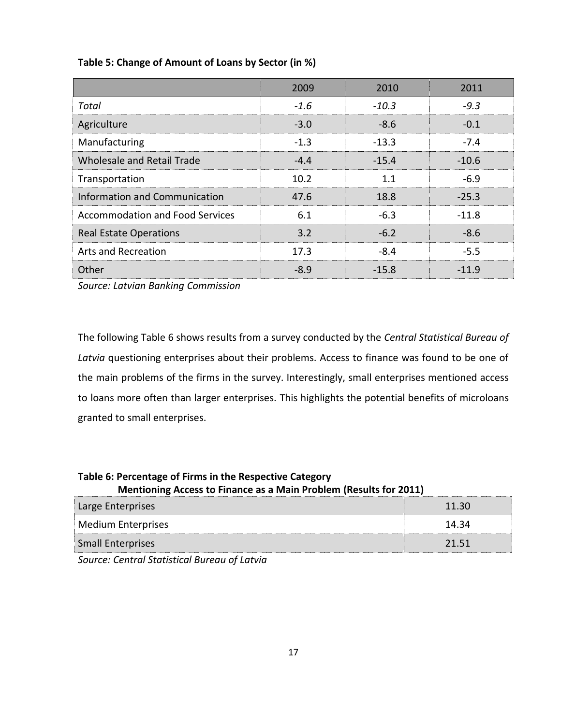|                                        | 2009   | 2010    | 2011    |
|----------------------------------------|--------|---------|---------|
| Total                                  | $-1.6$ | $-10.3$ | $-9.3$  |
| Agriculture                            | $-3.0$ | $-8.6$  | $-0.1$  |
| Manufacturing                          | $-1.3$ | $-13.3$ | $-7.4$  |
| Wholesale and Retail Trade             | $-4.4$ | $-15.4$ | $-10.6$ |
| Transportation                         | 10.2   | 1.1     | $-6.9$  |
| <b>Information and Communication</b>   | 47.6   | 18.8    | $-25.3$ |
| <b>Accommodation and Food Services</b> | 6.1    | $-6.3$  | $-11.8$ |
| <b>Real Estate Operations</b>          | 3.2    | $-6.2$  | $-8.6$  |
| Arts and Recreation                    | 17.3   | $-8.4$  | $-5.5$  |
| Other                                  | $-8.9$ | $-15.8$ | $-11.9$ |

## **Table 5: Change of Amount of Loans by Sector (in %)**

*Source: Latvian Banking Commission* 

The following Table 6 shows results from a survey conducted by the *Central Statistical Bureau of Latvia* questioning enterprises about their problems. Access to finance was found to be one of the main problems of the firms in the survey. Interestingly, small enterprises mentioned access to loans more often than larger enterprises. This highlights the potential benefits of microloans granted to small enterprises.

## **Table 6: Percentage of Firms in the Respective Category**

 **Mentioning Access to Finance as a Main Problem (Results for 2011)** 

| Large Enterprises        |       |
|--------------------------|-------|
| Medium Enterprises       | 14.34 |
| <b>Small Enterprises</b> | 21.51 |
| .                        |       |

*Source: Central Statistical Bureau of Latvia*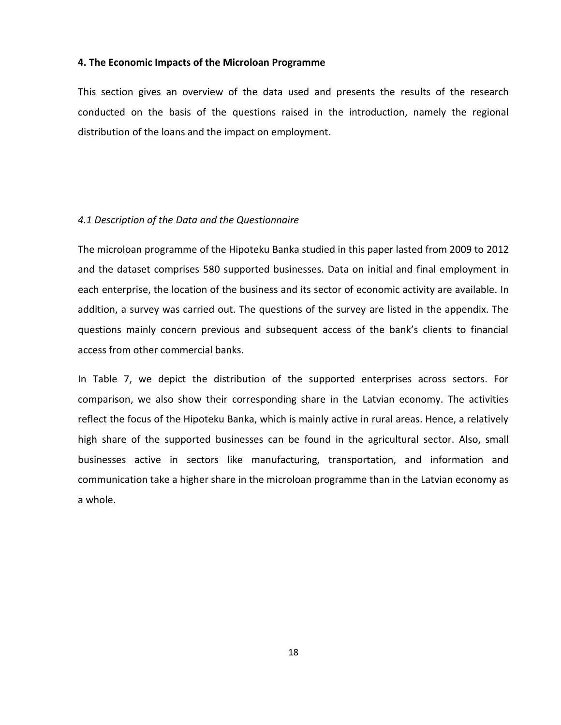#### **4. The Economic Impacts of the Microloan Programme**

This section gives an overview of the data used and presents the results of the research conducted on the basis of the questions raised in the introduction, namely the regional distribution of the loans and the impact on employment.

#### *4.1 Description of the Data and the Questionnaire*

The microloan programme of the Hipoteku Banka studied in this paper lasted from 2009 to 2012 and the dataset comprises 580 supported businesses. Data on initial and final employment in each enterprise, the location of the business and its sector of economic activity are available. In addition, a survey was carried out. The questions of the survey are listed in the appendix. The questions mainly concern previous and subsequent access of the bank's clients to financial access from other commercial banks.

In Table 7, we depict the distribution of the supported enterprises across sectors. For comparison, we also show their corresponding share in the Latvian economy. The activities reflect the focus of the Hipoteku Banka, which is mainly active in rural areas. Hence, a relatively high share of the supported businesses can be found in the agricultural sector. Also, small businesses active in sectors like manufacturing, transportation, and information and communication take a higher share in the microloan programme than in the Latvian economy as a whole.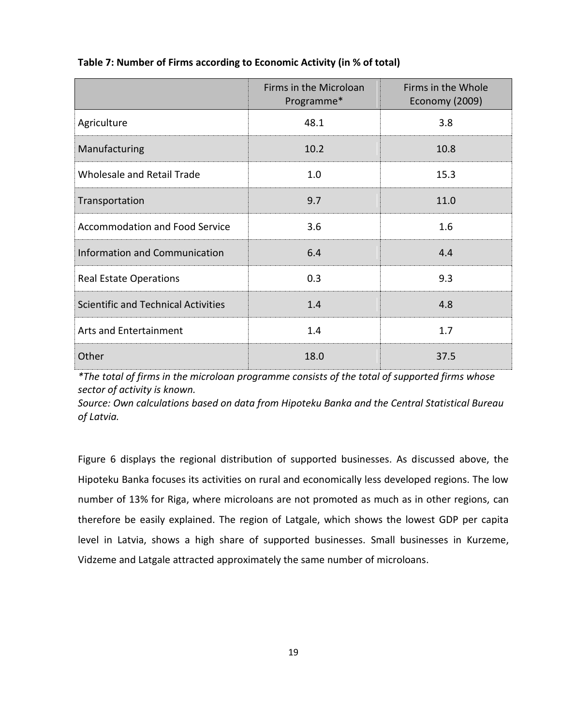|                                            | Firms in the Microloan<br>Programme* | Firms in the Whole<br>Economy (2009) |
|--------------------------------------------|--------------------------------------|--------------------------------------|
| Agriculture                                | 48.1                                 | 3.8                                  |
| Manufacturing                              | 10.2                                 | 10.8                                 |
| Wholesale and Retail Trade                 | 1.0                                  | 15.3                                 |
| Transportation                             | 9.7                                  | 11.0                                 |
| <b>Accommodation and Food Service</b>      | 3.6                                  | 1.6                                  |
| <b>Information and Communication</b>       | 6.4                                  | 4.4                                  |
| <b>Real Estate Operations</b>              | 0.3                                  | 9.3                                  |
| <b>Scientific and Technical Activities</b> | 1.4                                  | 4.8                                  |
| <b>Arts and Entertainment</b>              | 1.4                                  | 1.7                                  |
| Other                                      | 18.0                                 | 37.5                                 |

## **Table 7: Number of Firms according to Economic Activity (in % of total)**

*\*The total of firms in the microloan programme consists of the total of supported firms whose sector of activity is known.* 

*Source: Own calculations based on data from Hipoteku Banka and the Central Statistical Bureau of Latvia.* 

Figure 6 displays the regional distribution of supported businesses. As discussed above, the Hipoteku Banka focuses its activities on rural and economically less developed regions. The low number of 13% for Riga, where microloans are not promoted as much as in other regions, can therefore be easily explained. The region of Latgale, which shows the lowest GDP per capita level in Latvia, shows a high share of supported businesses. Small businesses in Kurzeme, Vidzeme and Latgale attracted approximately the same number of microloans.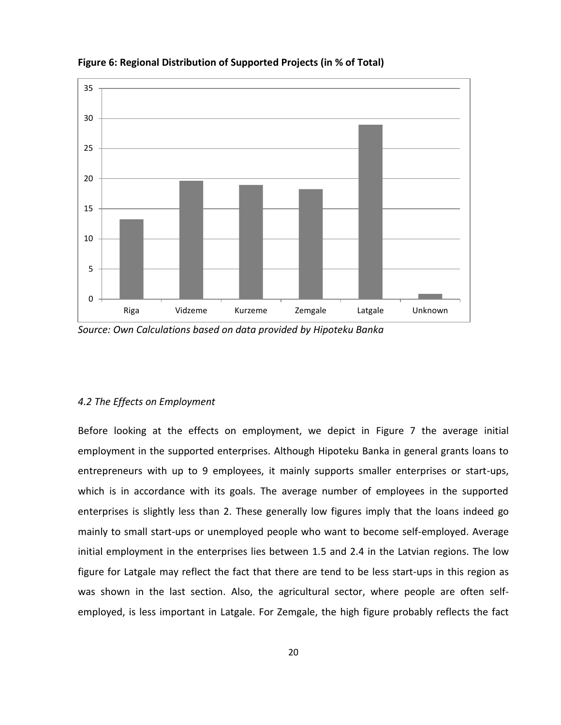

**Figure 6: Regional Distribution of Supported Projects (in % of Total)** 

#### *4.2 The Effects on Employment*

Before looking at the effects on employment, we depict in Figure 7 the average initial employment in the supported enterprises. Although Hipoteku Banka in general grants loans to entrepreneurs with up to 9 employees, it mainly supports smaller enterprises or start-ups, which is in accordance with its goals. The average number of employees in the supported enterprises is slightly less than 2. These generally low figures imply that the loans indeed go mainly to small start-ups or unemployed people who want to become self-employed. Average initial employment in the enterprises lies between 1.5 and 2.4 in the Latvian regions. The low figure for Latgale may reflect the fact that there are tend to be less start-ups in this region as was shown in the last section. Also, the agricultural sector, where people are often selfemployed, is less important in Latgale. For Zemgale, the high figure probably reflects the fact

*Source: Own Calculations based on data provided by Hipoteku Banka*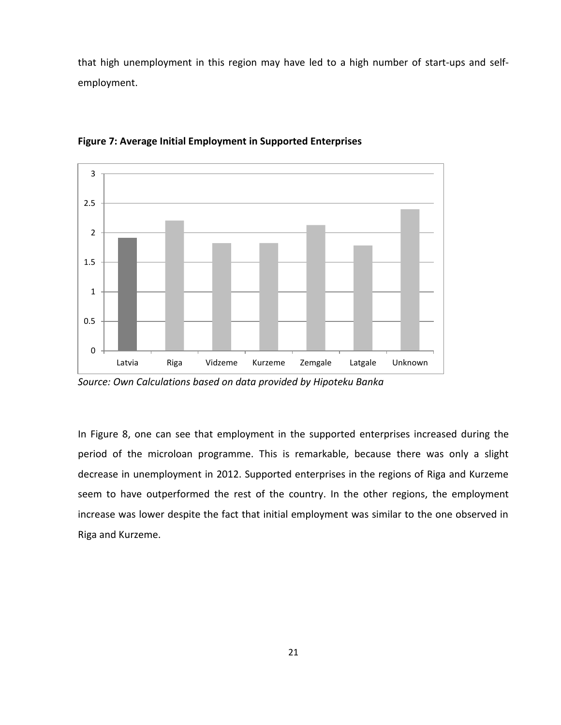that high unemployment in this region may have led to a high number of start-ups and selfemployment.



**Figure 7: Average Initial Employment in Supported Enterprises** 

*Source: Own Calculations based on data provided by Hipoteku Banka* 

In Figure 8, one can see that employment in the supported enterprises increased during the period of the microloan programme. This is remarkable, because there was only a slight decrease in unemployment in 2012. Supported enterprises in the regions of Riga and Kurzeme seem to have outperformed the rest of the country. In the other regions, the employment increase was lower despite the fact that initial employment was similar to the one observed in Riga and Kurzeme.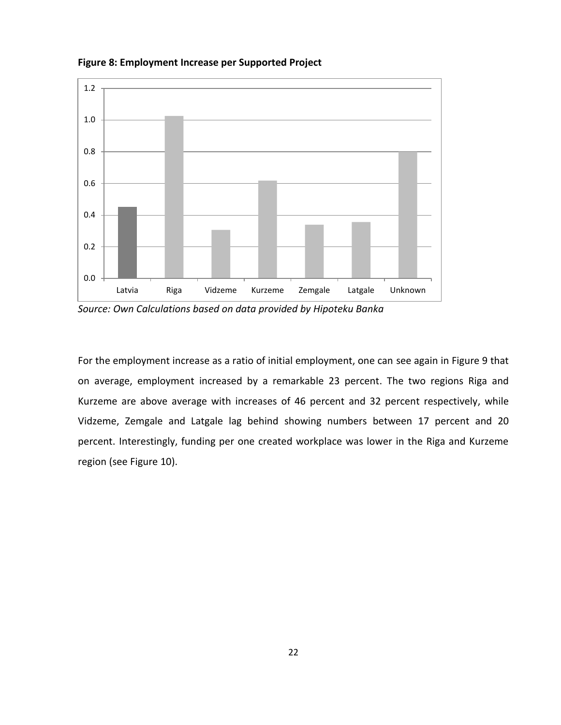

**Figure 8: Employment Increase per Supported Project** 

*Source: Own Calculations based on data provided by Hipoteku Banka* 

For the employment increase as a ratio of initial employment, one can see again in Figure 9 that on average, employment increased by a remarkable 23 percent. The two regions Riga and Kurzeme are above average with increases of 46 percent and 32 percent respectively, while Vidzeme, Zemgale and Latgale lag behind showing numbers between 17 percent and 20 percent. Interestingly, funding per one created workplace was lower in the Riga and Kurzeme region (see Figure 10).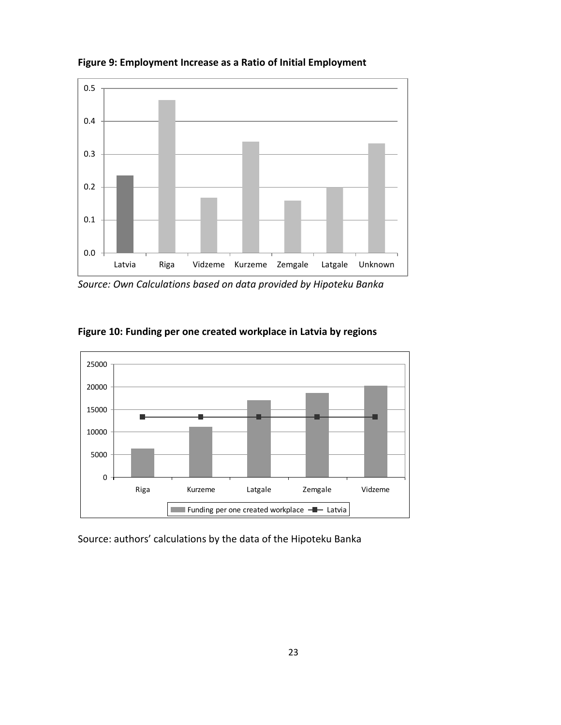

**Figure 9: Employment Increase as a Ratio of Initial Employment** 

*Source: Own Calculations based on data provided by Hipoteku Banka* 



**Figure 10: Funding per one created workplace in Latvia by regions** 

Source: authors' calculations by the data of the Hipoteku Banka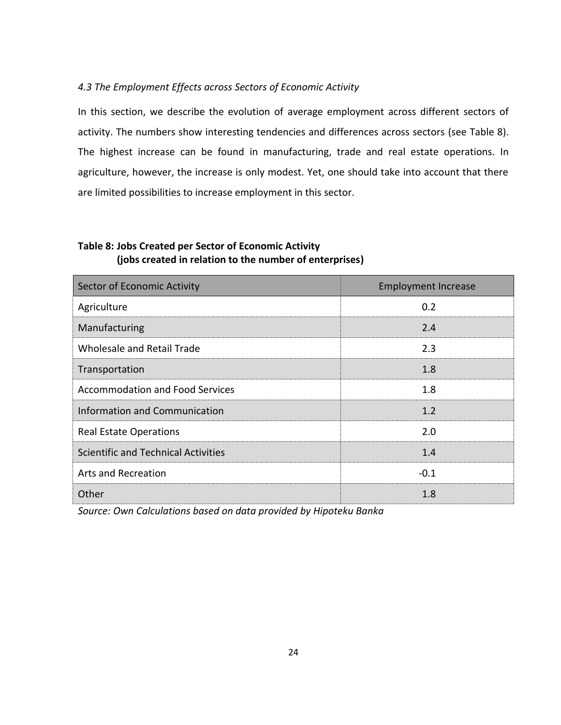## *4.3 The Employment Effects across Sectors of Economic Activity*

In this section, we describe the evolution of average employment across different sectors of activity. The numbers show interesting tendencies and differences across sectors (see Table 8). The highest increase can be found in manufacturing, trade and real estate operations. In agriculture, however, the increase is only modest. Yet, one should take into account that there are limited possibilities to increase employment in this sector.

## **Table 8: Jobs Created per Sector of Economic Activity (jobs created in relation to the number of enterprises)**

| Sector of Economic Activity                | <b>Employment Increase</b> |
|--------------------------------------------|----------------------------|
| Agriculture                                | 0.2                        |
| Manufacturing                              | 2.4                        |
| <b>Wholesale and Retail Trade</b>          | 2.3                        |
| Transportation                             | 1.8                        |
| <b>Accommodation and Food Services</b>     | 1.8                        |
| Information and Communication              | 1.2                        |
| <b>Real Estate Operations</b>              | 2.0                        |
| <b>Scientific and Technical Activities</b> | 1.4                        |
| <b>Arts and Recreation</b>                 | $-0.1$                     |
| Other                                      | 1.8                        |

*Source: Own Calculations based on data provided by Hipoteku Banka*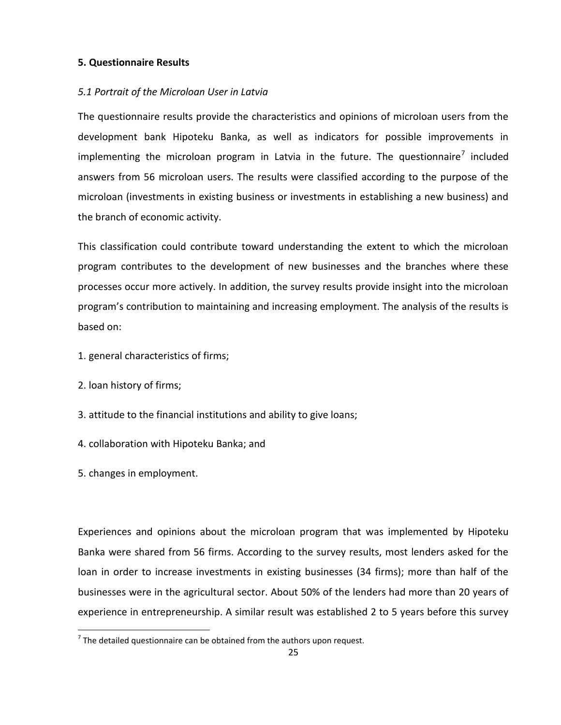## **5. Questionnaire Results**

## *5.1 Portrait of the Microloan User in Latvia*

The questionnaire results provide the characteristics and opinions of microloan users from the development bank Hipoteku Banka, as well as indicators for possible improvements in implementing the microloan program in Latvia in the future. The questionnaire<sup>7</sup> included answers from 56 microloan users. The results were classified according to the purpose of the microloan (investments in existing business or investments in establishing a new business) and the branch of economic activity.

This classification could contribute toward understanding the extent to which the microloan program contributes to the development of new businesses and the branches where these processes occur more actively. In addition, the survey results provide insight into the microloan program's contribution to maintaining and increasing employment. The analysis of the results is based on:

- 1. general characteristics of firms;
- 2. loan history of firms;
- 3. attitude to the financial institutions and ability to give loans;
- 4. collaboration with Hipoteku Banka; and
- 5. changes in employment.

 $\overline{\phantom{a}}$ 

Experiences and opinions about the microloan program that was implemented by Hipoteku Banka were shared from 56 firms. According to the survey results, most lenders asked for the loan in order to increase investments in existing businesses (34 firms); more than half of the businesses were in the agricultural sector. About 50% of the lenders had more than 20 years of experience in entrepreneurship. A similar result was established 2 to 5 years before this survey

 $<sup>7</sup>$  The detailed questionnaire can be obtained from the authors upon request.</sup>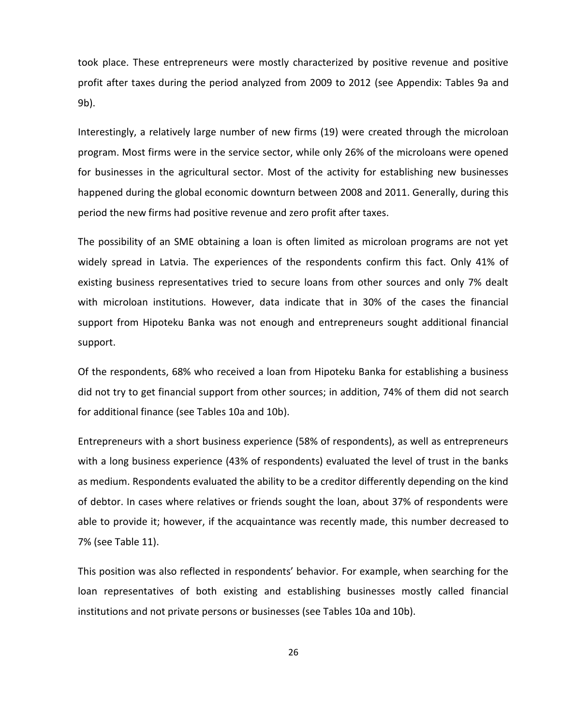took place. These entrepreneurs were mostly characterized by positive revenue and positive profit after taxes during the period analyzed from 2009 to 2012 (see Appendix: Tables 9a and 9b).

Interestingly, a relatively large number of new firms (19) were created through the microloan program. Most firms were in the service sector, while only 26% of the microloans were opened for businesses in the agricultural sector. Most of the activity for establishing new businesses happened during the global economic downturn between 2008 and 2011. Generally, during this period the new firms had positive revenue and zero profit after taxes.

The possibility of an SME obtaining a loan is often limited as microloan programs are not yet widely spread in Latvia. The experiences of the respondents confirm this fact. Only 41% of existing business representatives tried to secure loans from other sources and only 7% dealt with microloan institutions. However, data indicate that in 30% of the cases the financial support from Hipoteku Banka was not enough and entrepreneurs sought additional financial support.

Of the respondents, 68% who received a loan from Hipoteku Banka for establishing a business did not try to get financial support from other sources; in addition, 74% of them did not search for additional finance (see Tables 10a and 10b).

Entrepreneurs with a short business experience (58% of respondents), as well as entrepreneurs with a long business experience (43% of respondents) evaluated the level of trust in the banks as medium. Respondents evaluated the ability to be a creditor differently depending on the kind of debtor. In cases where relatives or friends sought the loan, about 37% of respondents were able to provide it; however, if the acquaintance was recently made, this number decreased to 7% (see Table 11).

This position was also reflected in respondents' behavior. For example, when searching for the loan representatives of both existing and establishing businesses mostly called financial institutions and not private persons or businesses (see Tables 10a and 10b).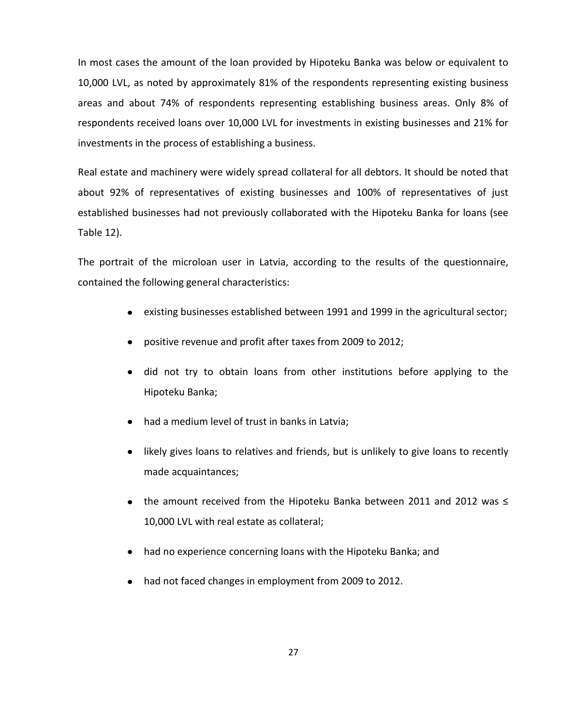In most cases the amount of the loan provided by Hipoteku Banka was below or equivalent to 10,000 LVL, as noted by approximately 81% of the respondents representing existing business areas and about 74% of respondents representing establishing business areas. Only 8% of respondents received loans over 10,000 LVL for investments in existing businesses and 21% for investments in the process of establishing a business.

Real estate and machinery were widely spread collateral for all debtors. It should be noted that about 92% of representatives of existing businesses and 100% of representatives of just established businesses had not previously collaborated with the Hipoteku Banka for loans (see Table 12).

The portrait of the microloan user in Latvia, according to the results of the questionnaire, contained the following general characteristics:

- existing businesses established between 1991 and 1999 in the agricultural sector;
- positive revenue and profit after taxes from 2009 to 2012;
- did not try to obtain loans from other institutions before applying to the Hipoteku Banka;
- had a medium level of trust in banks in Latvia;
- likely gives loans to relatives and friends, but is unlikely to give loans to recently made acquaintances;
- the amount received from the Hipoteku Banka between 2011 and 2012 was ≤ 10,000 LVL with real estate as collateral;
- had no experience concerning loans with the Hipoteku Banka; and
- had not faced changes in employment from 2009 to 2012.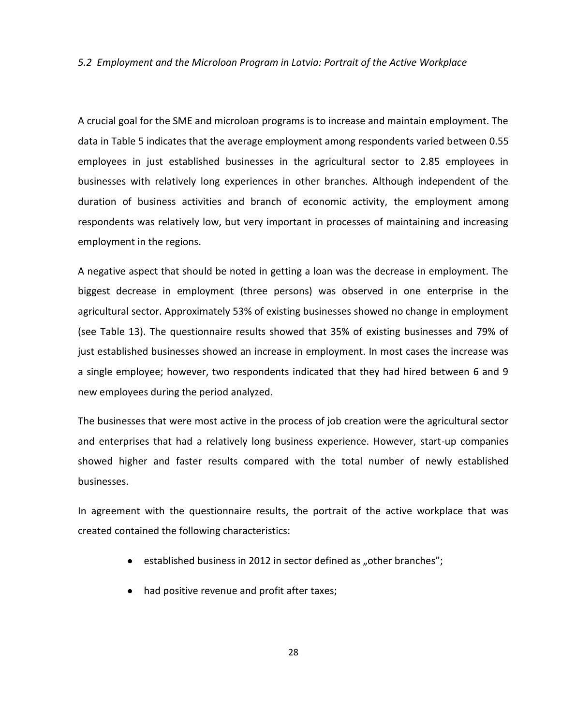*5.2 Employment and the Microloan Program in Latvia: Portrait of the Active Workplace* 

A crucial goal for the SME and microloan programs is to increase and maintain employment. The data in Table 5 indicates that the average employment among respondents varied between 0.55 employees in just established businesses in the agricultural sector to 2.85 employees in businesses with relatively long experiences in other branches. Although independent of the duration of business activities and branch of economic activity, the employment among respondents was relatively low, but very important in processes of maintaining and increasing employment in the regions.

A negative aspect that should be noted in getting a loan was the decrease in employment. The biggest decrease in employment (three persons) was observed in one enterprise in the agricultural sector. Approximately 53% of existing businesses showed no change in employment (see Table 13). The questionnaire results showed that 35% of existing businesses and 79% of just established businesses showed an increase in employment. In most cases the increase was a single employee; however, two respondents indicated that they had hired between 6 and 9 new employees during the period analyzed.

The businesses that were most active in the process of job creation were the agricultural sector and enterprises that had a relatively long business experience. However, start-up companies showed higher and faster results compared with the total number of newly established businesses.

In agreement with the questionnaire results, the portrait of the active workplace that was created contained the following characteristics:

- $\bullet$  established business in 2012 in sector defined as "other branches";
- had positive revenue and profit after taxes;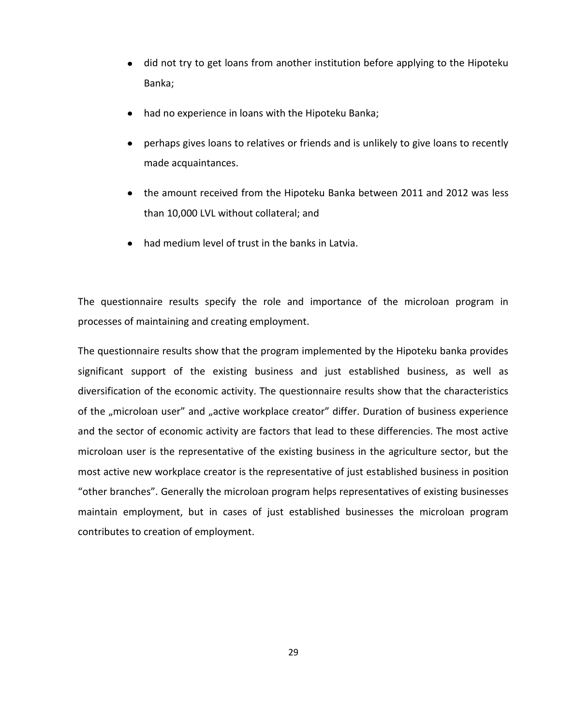- did not try to get loans from another institution before applying to the Hipoteku Banka;
- had no experience in loans with the Hipoteku Banka;
- perhaps gives loans to relatives or friends and is unlikely to give loans to recently made acquaintances.
- the amount received from the Hipoteku Banka between 2011 and 2012 was less than 10,000 LVL without collateral; and
- had medium level of trust in the banks in Latvia.

The questionnaire results specify the role and importance of the microloan program in processes of maintaining and creating employment.

The questionnaire results show that the program implemented by the Hipoteku banka provides significant support of the existing business and just established business, as well as diversification of the economic activity. The questionnaire results show that the characteristics of the "microloan user" and "active workplace creator" differ. Duration of business experience and the sector of economic activity are factors that lead to these differencies. The most active microloan user is the representative of the existing business in the agriculture sector, but the most active new workplace creator is the representative of just established business in position "other branches". Generally the microloan program helps representatives of existing businesses maintain employment, but in cases of just established businesses the microloan program contributes to creation of employment.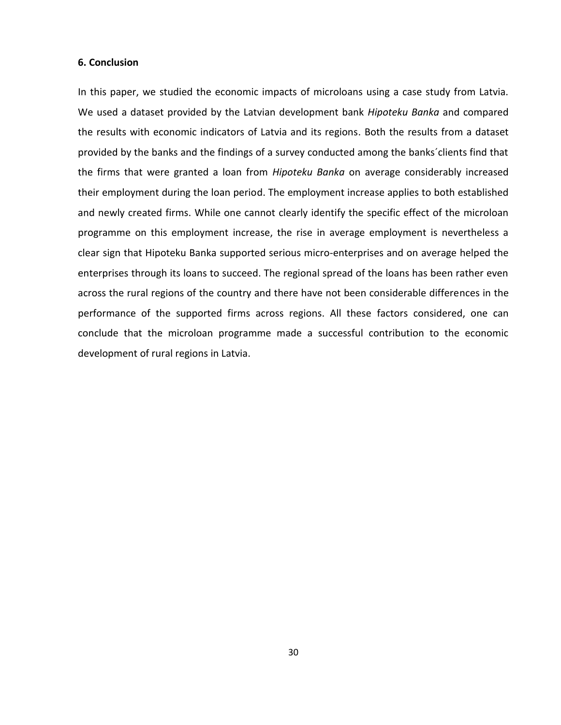#### **6. Conclusion**

In this paper, we studied the economic impacts of microloans using a case study from Latvia. We used a dataset provided by the Latvian development bank *Hipoteku Banka* and compared the results with economic indicators of Latvia and its regions. Both the results from a dataset provided by the banks and the findings of a survey conducted among the banks´clients find that the firms that were granted a loan from *Hipoteku Banka* on average considerably increased their employment during the loan period. The employment increase applies to both established and newly created firms. While one cannot clearly identify the specific effect of the microloan programme on this employment increase, the rise in average employment is nevertheless a clear sign that Hipoteku Banka supported serious micro-enterprises and on average helped the enterprises through its loans to succeed. The regional spread of the loans has been rather even across the rural regions of the country and there have not been considerable differences in the performance of the supported firms across regions. All these factors considered, one can conclude that the microloan programme made a successful contribution to the economic development of rural regions in Latvia.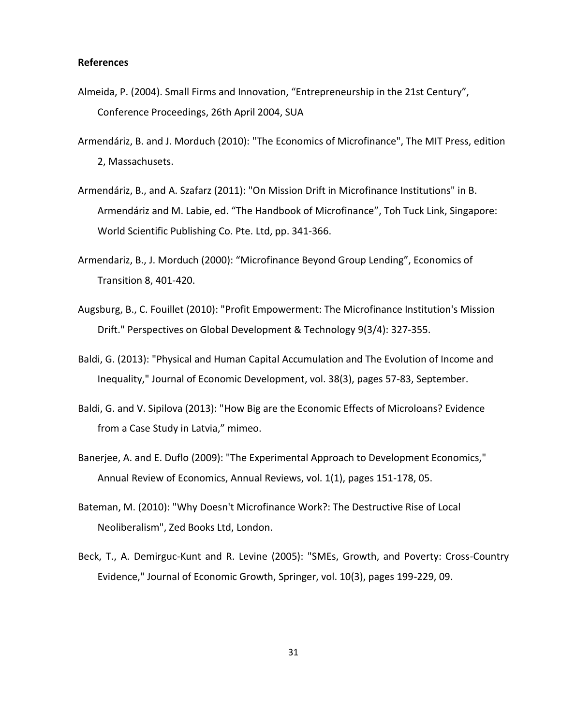## **References**

- Almeida, P. (2004). Small Firms and Innovation, "Entrepreneurship in the 21st Century", Conference Proceedings, 26th April 2004, SUA
- Armendáriz, B. and J. Morduch (2010): "The Economics of Microfinance", The MIT Press, edition 2, Massachusets.
- Armendáriz, B., and A. Szafarz (2011): "On Mission Drift in Microfinance Institutions" in B. Armendáriz and M. Labie, ed. "The Handbook of Microfinance", Toh Tuck Link, Singapore: World Scientific Publishing Co. Pte. Ltd, pp. 341-366.
- Armendariz, B., J. Morduch (2000): "Microfinance Beyond Group Lending", Economics of Transition 8, 401-420.
- Augsburg, B., C. Fouillet (2010): "Profit Empowerment: The Microfinance Institution's Mission Drift." Perspectives on Global Development & Technology 9(3/4): 327-355.
- Baldi, G. (2013): ["Physical and Human Capital Accumulation and The Evolution of Income and](http://ideas.repec.org/a/jed/journl/v38y2013i3p57-83.html)  [Inequality,](http://ideas.repec.org/a/jed/journl/v38y2013i3p57-83.html)" [Journal of Economic Development,](http://ideas.repec.org/s/jed/journl.html) vol. 38(3), pages 57-83, September.
- Baldi, G. and V. Sipilova (2013): "How Big are the Economic Effects of Microloans? Evidence from a Case Study in Latvia," mimeo.
- Banerjee, A. and E. Duflo (2009): "The Experimental Approach to Development Economics," Annual Review of Economics, Annual Reviews, vol. 1(1), pages 151-178, 05.
- Bateman, M. (2010): "Why Doesn't Microfinance Work?: The Destructive Rise of Local Neoliberalism", Zed Books Ltd, London.
- Beck, T., A. Demirguc-Kunt and R. Levine (2005): "SMEs, Growth, and Poverty: Cross-Country Evidence," Journal of Economic Growth, Springer, vol. 10(3), pages 199-229, 09.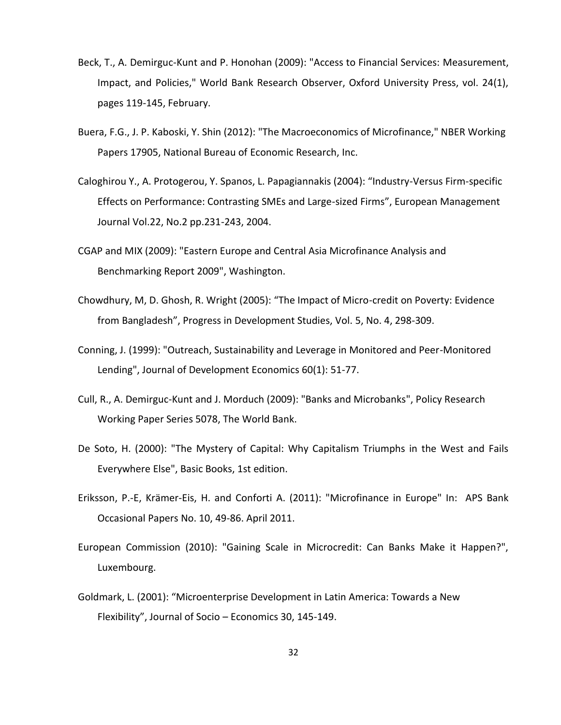- Beck, T., A. Demirguc-Kunt and P. Honohan (2009): "Access to Financial Services: Measurement, Impact, and Policies," World Bank Research Observer, Oxford University Press, vol. 24(1), pages 119-145, February.
- Buera, F.G., J. P. Kaboski, Y. Shin (2012): "The Macroeconomics of Microfinance," NBER Working Papers 17905, National Bureau of Economic Research, Inc.
- Caloghirou Y., A. Protogerou, Y. Spanos, L. Papagiannakis (2004): "Industry-Versus Firm-specific Effects on Performance: Contrasting SMEs and Large-sized Firms", European Management Journal Vol.22, No.2 pp.231-243, 2004.
- CGAP and MIX (2009): "Eastern Europe and Central Asia Microfinance Analysis and Benchmarking Report 2009", Washington.
- Chowdhury, M, D. Ghosh, R. Wright (2005): "The Impact of Micro-credit on Poverty: Evidence from Bangladesh", Progress in Development Studies, Vol. 5, No. 4, 298-309.
- Conning, J. (1999): "Outreach, Sustainability and Leverage in Monitored and Peer-Monitored Lending", Journal of Development Economics 60(1): 51-77.
- Cull, R., A. Demirguc-Kunt and J. Morduch (2009): "Banks and Microbanks", Policy Research Working Paper Series 5078, The World Bank.
- De Soto, H. (2000): "The Mystery of Capital: Why Capitalism Triumphs in the West and Fails Everywhere Else", Basic Books, 1st edition.
- Eriksson, P.-E, Krämer-Eis, H. and Conforti A. (2011): "Microfinance in Europe" In: APS Bank Occasional Papers No. 10, 49-86. April 2011.
- European Commission (2010): "Gaining Scale in Microcredit: Can Banks Make it Happen?", Luxembourg.
- Goldmark, L. (2001): "Microenterprise Development in Latin America: Towards a New Flexibility", Journal of Socio – Economics 30, 145-149.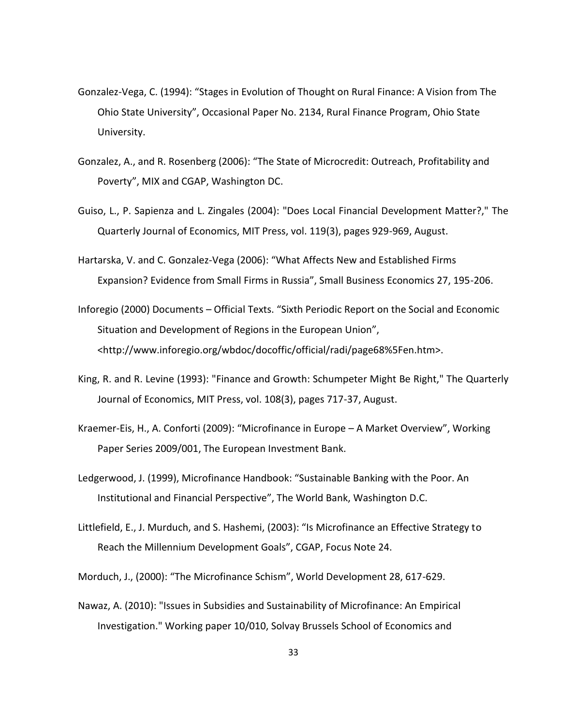- Gonzalez-Vega, C. (1994): "Stages in Evolution of Thought on Rural Finance: A Vision from The Ohio State University", Occasional Paper No. 2134, Rural Finance Program, Ohio State University.
- Gonzalez, A., and R. Rosenberg (2006): "The State of Microcredit: Outreach, Profitability and Poverty", MIX and CGAP, Washington DC.
- Guiso, L., P. Sapienza and L. Zingales (2004): "Does Local Financial Development Matter?," The Quarterly Journal of Economics, MIT Press, vol. 119(3), pages 929-969, August.
- Hartarska, V. and C. Gonzalez-Vega (2006): "What Affects New and Established Firms Expansion? Evidence from Small Firms in Russia", Small Business Economics 27, 195-206.
- Inforegio (2000) Documents Official Texts. "Sixth Periodic Report on the Social and Economic Situation and Development of Regions in the European Union", <http://www.inforegio.org/wbdoc/docoffic/official/radi/page68%5Fen.htm>.
- King, R. and R. Levine (1993): "Finance and Growth: Schumpeter Might Be Right," The Quarterly Journal of Economics, MIT Press, vol. 108(3), pages 717-37, August.
- Kraemer-Eis, H., A. Conforti (2009): "Microfinance in Europe A Market Overview", Working Paper Series 2009/001, The European Investment Bank.
- Ledgerwood, J. (1999), Microfinance Handbook: "Sustainable Banking with the Poor. An Institutional and Financial Perspective", The World Bank, Washington D.C.
- Littlefield, E., J. Murduch, and S. Hashemi, (2003): "Is Microfinance an Effective Strategy to Reach the Millennium Development Goals", CGAP, Focus Note 24.
- Morduch, J., (2000): "The Microfinance Schism", World Development 28, 617-629.
- Nawaz, A. (2010): "Issues in Subsidies and Sustainability of Microfinance: An Empirical Investigation." Working paper 10/010, Solvay Brussels School of Economics and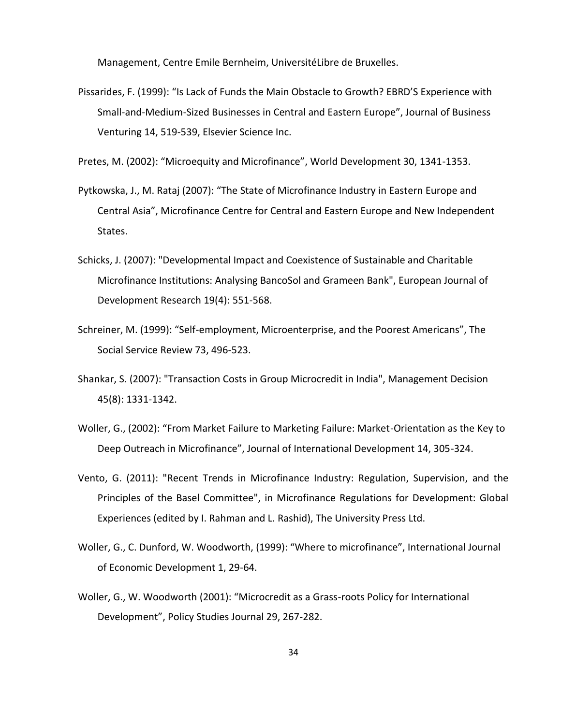Management, Centre Emile Bernheim, UniversitéLibre de Bruxelles.

Pissarides, F. (1999): "Is Lack of Funds the Main Obstacle to Growth? EBRD'S Experience with Small-and-Medium-Sized Businesses in Central and Eastern Europe", Journal of Business Venturing 14, 519-539, Elsevier Science Inc.

Pretes, M. (2002): "Microequity and Microfinance", World Development 30, 1341-1353.

- Pytkowska, J., M. Rataj (2007): "The State of Microfinance Industry in Eastern Europe and Central Asia", Microfinance Centre for Central and Eastern Europe and New Independent States.
- Schicks, J. (2007): "Developmental Impact and Coexistence of Sustainable and Charitable Microfinance Institutions: Analysing BancoSol and Grameen Bank", European Journal of Development Research 19(4): 551-568.
- Schreiner, M. (1999): "Self-employment, Microenterprise, and the Poorest Americans", The Social Service Review 73, 496-523.
- Shankar, S. (2007): "Transaction Costs in Group Microcredit in India", Management Decision 45(8): 1331-1342.
- Woller, G., (2002): "From Market Failure to Marketing Failure: Market-Orientation as the Key to Deep Outreach in Microfinance", Journal of International Development 14, 305-324.
- Vento, G. (2011): "Recent Trends in Microfinance Industry: Regulation, Supervision, and the Principles of the Basel Committee", in Microfinance Regulations for Development: Global Experiences (edited by I. Rahman and L. Rashid), The University Press Ltd.
- Woller, G., C. Dunford, W. Woodworth, (1999): "Where to microfinance", International Journal of Economic Development 1, 29-64.
- Woller, G., W. Woodworth (2001): "Microcredit as a Grass-roots Policy for International Development", Policy Studies Journal 29, 267-282.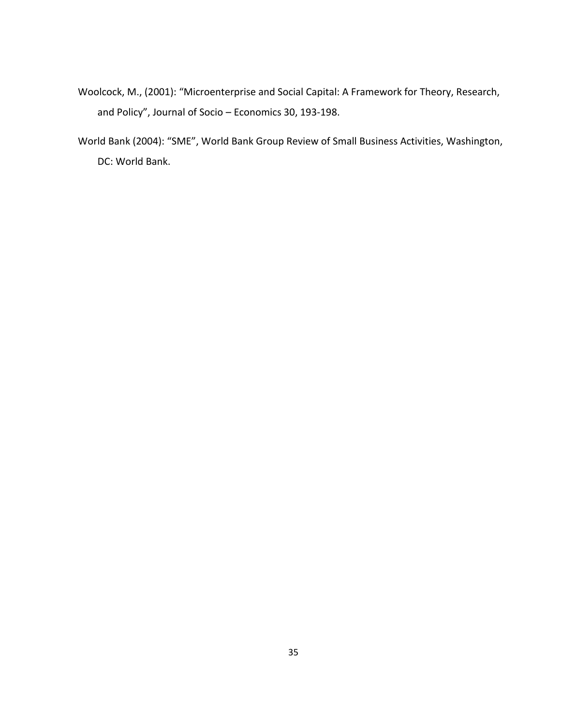- Woolcock, M., (2001): "Microenterprise and Social Capital: A Framework for Theory, Research, and Policy", Journal of Socio – Economics 30, 193-198.
- World Bank (2004): "SME", World Bank Group Review of Small Business Activities, Washington, DC: World Bank.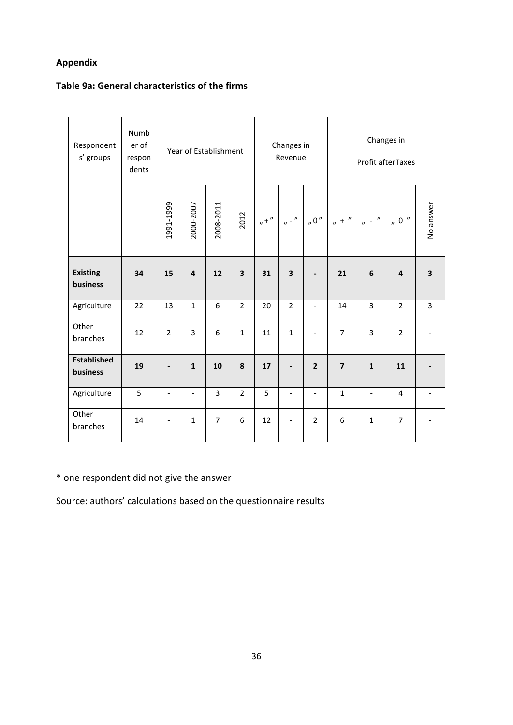# **Appendix**

# **Table 9a: General characteristics of the firms**

| Respondent<br>s' groups        | Numb<br>er of<br>respon<br>dents |                |                          |                | Changes in<br>Year of Establishment<br>Revenue |         |                          |                          | Changes in<br>Profit afterTaxes |                          |                                       |                         |
|--------------------------------|----------------------------------|----------------|--------------------------|----------------|------------------------------------------------|---------|--------------------------|--------------------------|---------------------------------|--------------------------|---------------------------------------|-------------------------|
|                                |                                  | 1991-1999      | 2000-2007                | 2008-2011      | 2012                                           | $n +$ " | $n - \frac{n}{2}$        | 0''                      | $n + \frac{n}{2}$               | $n = \frac{n}{2}$        | $_{\prime\prime}$ 0 $^{\prime\prime}$ | No answer               |
| <b>Existing</b><br>business    | 34                               | 15             | $\overline{\mathbf{A}}$  | 12             | $\overline{\mathbf{3}}$                        | 31      | 3                        |                          | 21                              | 6                        | $\overline{\mathbf{4}}$               | $\overline{\mathbf{3}}$ |
| Agriculture                    | 22                               | 13             | $\mathbf{1}$             | 6              | $\overline{2}$                                 | 20      | $\overline{2}$           | $\overline{\phantom{0}}$ | 14                              | 3                        | $\overline{2}$                        | $\overline{3}$          |
| Other<br>branches              | 12                               | $\overline{2}$ | $\overline{3}$           | 6              | $\mathbf{1}$                                   | 11      | $\mathbf{1}$             | $\overline{a}$           | $\overline{7}$                  | 3                        | $\overline{2}$                        |                         |
| <b>Established</b><br>business | 19                               |                | $\mathbf{1}$             | 10             | 8                                              | 17      | $\overline{\phantom{a}}$ | $\overline{2}$           | $\overline{7}$                  | $\mathbf{1}$             | 11                                    |                         |
| Agriculture                    | 5                                | $\frac{1}{2}$  | $\overline{\phantom{a}}$ | $\overline{3}$ | $\overline{2}$                                 | 5       | $\overline{\phantom{a}}$ | $\overline{\phantom{0}}$ | $\mathbf{1}$                    | $\overline{\phantom{a}}$ | 4                                     |                         |
| Other<br>branches              | 14                               |                | $\mathbf{1}$             | $\overline{7}$ | 6                                              | 12      | $\overline{\phantom{a}}$ | $\overline{2}$           | 6                               | $\mathbf{1}$             | $\overline{7}$                        |                         |

\* one respondent did not give the answer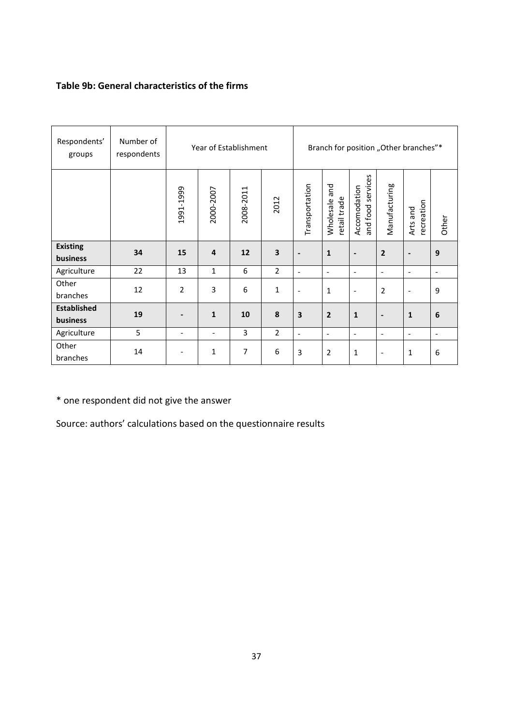# **Table 9b: General characteristics of the firms**

| Respondents'<br>groups         | Number of<br>respondents | Year of Establishment        |                   |           |                |                          | Branch for position "Other branches"* |                                   |                              |                          |                          |
|--------------------------------|--------------------------|------------------------------|-------------------|-----------|----------------|--------------------------|---------------------------------------|-----------------------------------|------------------------------|--------------------------|--------------------------|
|                                |                          | 1991-1999                    | 2000-2007         | 2008-2011 | 2012           | Transportation           | Wholesale and<br>retail trade         | and food services<br>Accomodation | Manufacturing                | recreation<br>Arts and   | Other                    |
| <b>Existing</b><br>business    | 34                       | 15                           | 4                 | 12        | 3              |                          | $\mathbf{1}$                          | $\qquad \qquad \blacksquare$      | $\overline{2}$               | $\blacksquare$           | 9                        |
| Agriculture                    | 22                       | 13                           | $\mathbf{1}$      | 6         | $\overline{2}$ | $\overline{\phantom{a}}$ | $\overline{\phantom{a}}$              | $\overline{\phantom{a}}$          | $\tilde{\phantom{a}}$        | $\overline{\phantom{a}}$ | $\overline{\phantom{a}}$ |
| Other<br>branches              | 12                       | $\overline{2}$               | 3                 | 6         | $\mathbf 1$    | $\overline{\phantom{a}}$ | 1                                     | $\overline{\phantom{a}}$          | $\overline{2}$               | $\overline{\phantom{a}}$ | 9                        |
| <b>Established</b><br>business | 19                       |                              | $\mathbf{1}$      | 10        | 8              | $\overline{\mathbf{3}}$  | $\overline{2}$                        | $\mathbf{1}$                      | $\qquad \qquad \blacksquare$ | $\mathbf{1}$             | 6                        |
| Agriculture                    | 5                        | $\overline{\phantom{a}}$     | $\qquad \qquad -$ | 3         | $\overline{2}$ | $\blacksquare$           | $\blacksquare$                        | $\overline{\phantom{a}}$          | $\blacksquare$               | $\tilde{\phantom{a}}$    | $\overline{\phantom{a}}$ |
| Other<br>branches              | 14                       | $\qquad \qquad \blacksquare$ | 1                 | 7         | 6              | 3                        | $\overline{2}$                        | 1                                 | $\overline{\phantom{a}}$     | 1                        | 6                        |

\* one respondent did not give the answer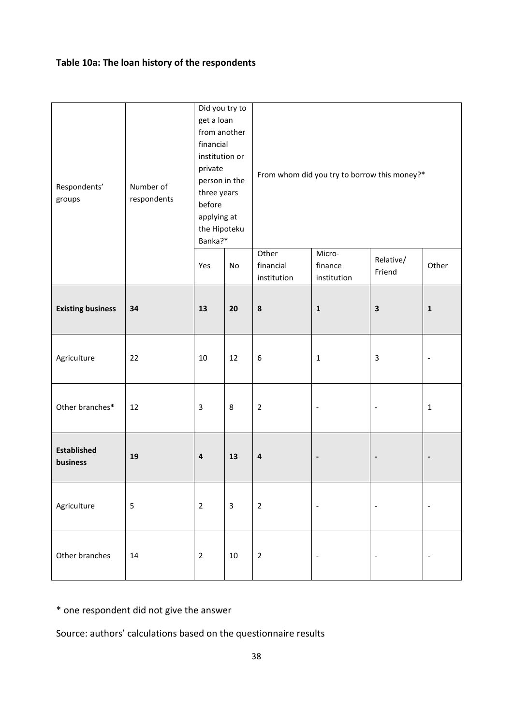# **Table 10a: The loan history of the respondents**

| Respondents'<br>groups         | Number of<br>respondents | Did you try to<br>get a loan<br>from another<br>financial<br>institution or<br>private<br>person in the<br>three years<br>before<br>applying at<br>the Hipoteku<br>Banka?* |              | From whom did you try to borrow this money?* |                                  |                          |                          |  |  |  |
|--------------------------------|--------------------------|----------------------------------------------------------------------------------------------------------------------------------------------------------------------------|--------------|----------------------------------------------|----------------------------------|--------------------------|--------------------------|--|--|--|
|                                |                          | Yes<br>No                                                                                                                                                                  |              | Other<br>financial<br>institution            | Micro-<br>finance<br>institution | Relative/<br>Friend      | Other                    |  |  |  |
| <b>Existing business</b>       | 34                       | 13<br>20                                                                                                                                                                   |              | ${\bf 8}$                                    | $\mathbf{1}$                     | $\mathbf 3$              | $\mathbf 1$              |  |  |  |
| Agriculture                    | 22                       | 10                                                                                                                                                                         | 12           | 6                                            | $\mathbf{1}$                     | $\mathsf 3$              | $\overline{\phantom{a}}$ |  |  |  |
| Other branches*                | 12                       | $\overline{3}$                                                                                                                                                             | $\,8\,$      | $\overline{2}$                               | $\overline{\phantom{a}}$         | $\overline{\phantom{a}}$ | $\mathbf 1$              |  |  |  |
| <b>Established</b><br>business | 19                       | $\pmb{4}$                                                                                                                                                                  | 13           | $\overline{\mathbf{4}}$                      | $\overline{\phantom{a}}$         | $\overline{\phantom{a}}$ | $\overline{\phantom{a}}$ |  |  |  |
| Agriculture                    | $\mathsf S$              | $\overline{2}$                                                                                                                                                             | $\mathbf{3}$ | $\overline{2}$                               | $\overline{\phantom{a}}$         | $\overline{\phantom{a}}$ | $\overline{\phantom{a}}$ |  |  |  |
| Other branches                 | 14                       | $\overline{2}$                                                                                                                                                             | 10           | $\overline{2}$                               | $\overline{\phantom{a}}$         | $\overline{\phantom{a}}$ | $\overline{\phantom{a}}$ |  |  |  |

\* one respondent did not give the answer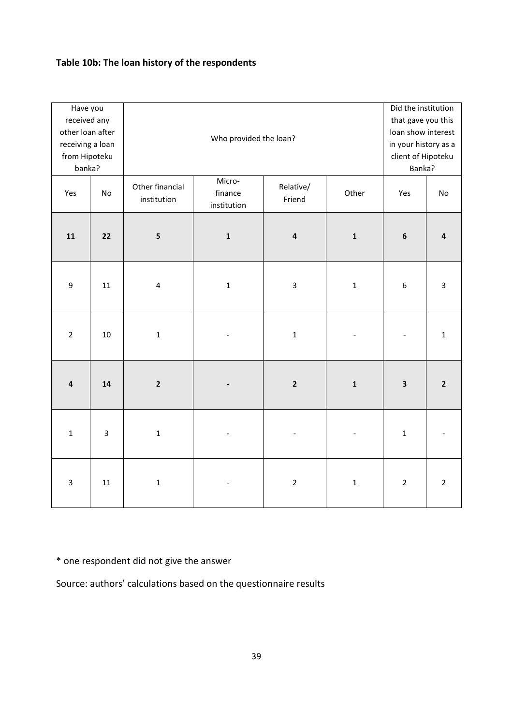# **Table 10b: The loan history of the respondents**

| Have you<br>received any<br>other loan after<br>receiving a loan<br>from Hipoteku<br>banka? |                         |                                | Did the institution<br>that gave you this<br>loan show interest<br>in your history as a<br>client of Hipoteku<br>Banka? |                     |                |                  |                         |
|---------------------------------------------------------------------------------------------|-------------------------|--------------------------------|-------------------------------------------------------------------------------------------------------------------------|---------------------|----------------|------------------|-------------------------|
| Yes                                                                                         | No                      | Other financial<br>institution | Micro-<br>finance<br>institution                                                                                        | Relative/<br>Friend | Other          | Yes              | No                      |
| 11                                                                                          | 22                      | 5                              | $\mathbf 1$                                                                                                             | $\pmb{4}$           | $\mathbf 1$    | $\boldsymbol{6}$ | $\overline{\mathbf{4}}$ |
| $\boldsymbol{9}$                                                                            | 11                      | $\overline{4}$                 | $\mathbf 1$                                                                                                             | $\overline{3}$      | $\mathbf 1$    | $\boldsymbol{6}$ | $\overline{3}$          |
| $\overline{2}$                                                                              | 10                      | $\mathbf 1$                    |                                                                                                                         | $\mathbf 1$         | $\frac{1}{2}$  | $\overline{a}$   | $\mathbf 1$             |
| $\overline{4}$                                                                              | 14                      | $\mathbf{2}$                   |                                                                                                                         | $\mathbf 2$         | $\mathbf 1$    | $\mathsf 3$      | $\overline{2}$          |
| $\mathbf 1$                                                                                 | $\overline{\mathbf{3}}$ | $\mathbf 1$                    |                                                                                                                         |                     | $\blacksquare$ | $\mathbf 1$      |                         |
| $\overline{3}$                                                                              | 11                      | $\mathbf 1$                    |                                                                                                                         | $\overline{2}$      | $\mathbf 1$    | $\overline{2}$   | $\overline{2}$          |

\* one respondent did not give the answer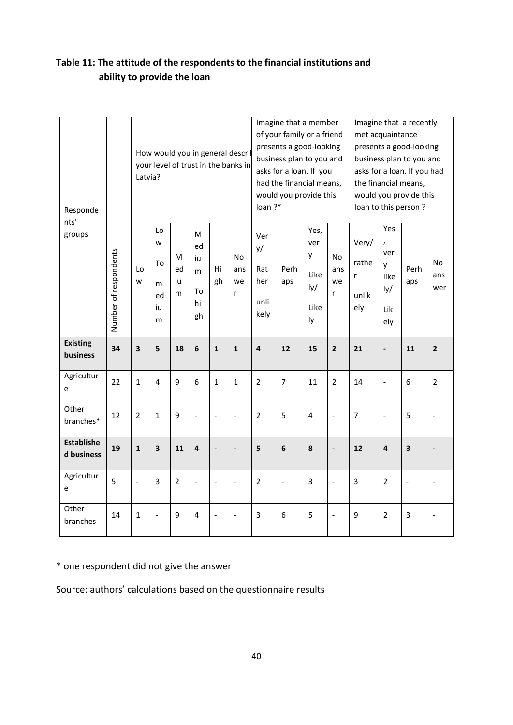| Responde                        |                       | Latvia?                  |                                     |                    |                                      |                          | How would you in general descril<br>your level of trust in the banks in | loan?*                                  | Imagine that a member<br>of your family or a friend<br>presents a good-looking<br>business plan to you and<br>asks for a loan. If you<br>had the financial means,<br>would you provide this |                                               |                             | Imagine that a recently<br>met acquaintance<br>presents a good-looking<br>business plan to you and<br>asks for a loan. If you had<br>the financial means,<br>would you provide this<br>loan to this person? |                                              |                          |                   |
|---------------------------------|-----------------------|--------------------------|-------------------------------------|--------------------|--------------------------------------|--------------------------|-------------------------------------------------------------------------|-----------------------------------------|---------------------------------------------------------------------------------------------------------------------------------------------------------------------------------------------|-----------------------------------------------|-----------------------------|-------------------------------------------------------------------------------------------------------------------------------------------------------------------------------------------------------------|----------------------------------------------|--------------------------|-------------------|
| nts'<br>groups                  | Number of respondents | Lo<br>w                  | Lo<br>w<br>To<br>m<br>ed<br>iu<br>m | M<br>ed<br>iu<br>m | M<br>ed<br>iu<br>m<br>To<br>hi<br>gh | Hi<br>gh                 | No<br>ans<br>we<br>r                                                    | Ver<br>y/<br>Rat<br>her<br>unli<br>kely | Perh<br>aps                                                                                                                                                                                 | Yes,<br>ver<br>y<br>Like<br>Iy/<br>Like<br>ly | <b>No</b><br>ans<br>we<br>r | Very/<br>rathe<br>r<br>unlik<br>ely                                                                                                                                                                         | Yes<br>ver<br>y<br>like<br>ly/<br>Lik<br>ely | Perh<br>aps              | No.<br>ans<br>wer |
| <b>Existing</b><br>business     | 34                    | $\overline{\mathbf{3}}$  | 5                                   | 18                 | $6\phantom{1}6$                      | $\mathbf{1}$             | $\mathbf{1}$                                                            | $\overline{\mathbf{4}}$                 | 12                                                                                                                                                                                          | 15                                            | $\overline{2}$              | 21                                                                                                                                                                                                          | $\blacksquare$                               | 11                       | $\overline{2}$    |
| Agricultur<br>e                 | 22                    | $\mathbf{1}$             | 4                                   | 9                  | 6                                    | $\mathbf{1}$             | $\mathbf{1}$                                                            | $\overline{2}$                          | 7                                                                                                                                                                                           | 11                                            | $\overline{2}$              | 14                                                                                                                                                                                                          | $\ddot{\phantom{a}}$                         | 6                        | $\overline{2}$    |
| Other<br>branches*              | 12                    | $\overline{2}$           | $\mathbf{1}$                        | 9                  | $\overline{\phantom{0}}$             | $\overline{\phantom{a}}$ | $\frac{1}{2}$                                                           | $\overline{2}$                          | 5                                                                                                                                                                                           | $\overline{4}$                                | $\frac{1}{2}$               | $\overline{7}$                                                                                                                                                                                              | $\overline{\phantom{a}}$                     | 5                        |                   |
| <b>Establishe</b><br>d business | 19                    | $\mathbf{1}$             | 3                                   | 11                 | $\overline{\mathbf{4}}$              |                          | $\overline{a}$                                                          | 5                                       | 6                                                                                                                                                                                           | 8                                             | $\overline{\phantom{a}}$    | 12                                                                                                                                                                                                          | $\overline{\mathbf{a}}$                      | $\overline{\mathbf{3}}$  |                   |
| Agricultur<br>e                 | 5                     | $\overline{\phantom{a}}$ | 3                                   | $\overline{2}$     | $\overline{\phantom{0}}$             | $\overline{\phantom{a}}$ | $\overline{\phantom{0}}$                                                | $\overline{2}$                          | $\frac{1}{2}$                                                                                                                                                                               | 3                                             | $\frac{1}{2}$               | 3                                                                                                                                                                                                           | $\overline{2}$                               | $\overline{\phantom{a}}$ |                   |
| Other<br>branches               | 14                    | $\mathbf{1}$             | $\frac{1}{2}$                       | 9                  | $\overline{4}$                       | $\overline{\phantom{a}}$ | $\overline{a}$                                                          | $\overline{3}$                          | 6                                                                                                                                                                                           | 5                                             | $\overline{\phantom{a}}$    | 9                                                                                                                                                                                                           | $\overline{2}$                               | $\overline{3}$           |                   |

# **Table 11: The attitude of the respondents to the financial institutions and ability to provide the loan**

\* one respondent did not give the answer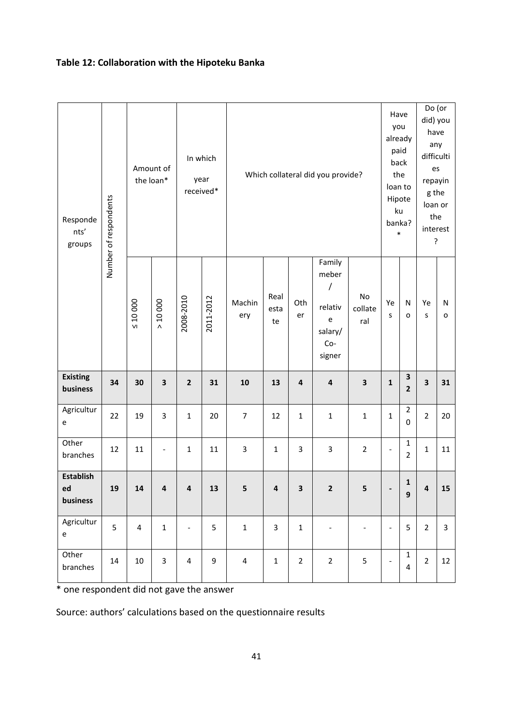# **Table 12: Collaboration with the Hipoteku Banka**

| Number of respondents<br>Responde<br>nts'<br>groups |    |                | Amount of<br>the loan*   |                          | In which<br>year<br>received* |                |                    |                         | Which collateral did you provide?                                  |                          | Have<br>you<br>already<br>paid<br>back<br>the<br>loan to<br>Hipote<br>ku<br>banka?<br>$\ast$ |                                        | Do (or<br>did) you<br>have<br>any<br>difficulti<br>es<br>repayin<br>g the<br>loan or<br>the<br>interest<br>? |                |
|-----------------------------------------------------|----|----------------|--------------------------|--------------------------|-------------------------------|----------------|--------------------|-------------------------|--------------------------------------------------------------------|--------------------------|----------------------------------------------------------------------------------------------|----------------------------------------|--------------------------------------------------------------------------------------------------------------|----------------|
|                                                     |    | $\leq 10000$   | > 10000                  | 2008-2010                | 2011-2012                     | Machin<br>ery  | Real<br>esta<br>te | Oth<br>er               | Family<br>meber<br>/<br>relativ<br>e<br>salary/<br>$Co-$<br>signer | No<br>collate<br>ral     | Ye<br>S                                                                                      | $\mathsf{N}$<br>O                      | Ye<br>S                                                                                                      | N<br>o         |
| <b>Existing</b><br>business                         | 34 | 30             | 3                        | $\mathbf{2}$             | 31                            | 10             | 13                 | $\overline{\mathbf{4}}$ | $\overline{\mathbf{4}}$                                            | $\overline{\mathbf{3}}$  | $\mathbf 1$                                                                                  | $\mathsf 3$<br>$\overline{\mathbf{2}}$ | $\overline{\mathbf{3}}$                                                                                      | 31             |
| Agricultur<br>e                                     | 22 | 19             | 3                        | $\mathbf{1}$             | 20                            | $\overline{7}$ | 12                 | $\mathbf{1}$            | $\mathbf 1$                                                        | $\mathbf{1}$             | $\mathbf 1$                                                                                  | $\overline{2}$<br>$\mathbf 0$          | $\overline{2}$                                                                                               | 20             |
| Other<br>branches                                   | 12 | 11             | $\overline{\phantom{0}}$ | $\mathbf{1}$             | 11                            | 3              | $\mathbf 1$        | 3                       | 3                                                                  | $\overline{2}$           | $\qquad \qquad -$                                                                            | $\mathbf 1$<br>$\overline{2}$          | $\mathbf{1}$                                                                                                 | 11             |
| <b>Establish</b><br>ed<br>business                  | 19 | 14             | 4                        | 4                        | 13                            | 5              | 4                  | 3                       | 2                                                                  | 5                        | $\overline{\phantom{a}}$                                                                     | $\mathbf 1$<br>$\boldsymbol{9}$        | 4                                                                                                            | 15             |
| Agricultur<br>e                                     | 5  | $\overline{4}$ | $\mathbf 1$              | $\overline{\phantom{a}}$ | 5                             | $\mathbf 1$    | $\overline{3}$     | $1\,$                   | $\overline{\phantom{a}}$                                           | $\overline{\phantom{a}}$ | $\blacksquare$                                                                               | 5                                      | $\overline{2}$                                                                                               | $\overline{3}$ |
| Other<br>branches                                   | 14 | 10             | $\overline{3}$           | 4                        | 9                             | $\overline{4}$ | $\mathbf{1}$       | $\overline{2}$          | $\overline{2}$                                                     | 5                        | $\overline{\phantom{a}}$                                                                     | $\mathbf{1}$<br>$\overline{4}$         | $\overline{2}$                                                                                               | 12             |

\* one respondent did not gave the answer